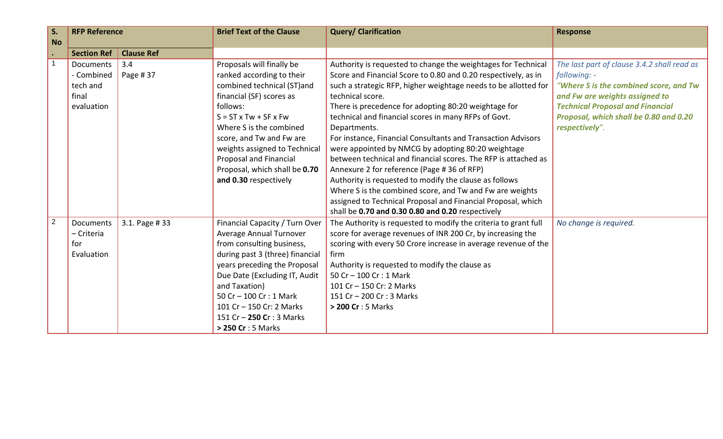| S.             | <b>RFP Reference</b>                                       |                   | <b>Brief Text of the Clause</b>                                                                                                                                                                                                                                                                                                               | <b>Query/ Clarification</b>                                                                                                                                                                                                                                                                                                                                                                                                                                                                                                                                                                                                                                                                                                                                                                                                             | <b>Response</b>                                                                                                                                                                                                                                |
|----------------|------------------------------------------------------------|-------------------|-----------------------------------------------------------------------------------------------------------------------------------------------------------------------------------------------------------------------------------------------------------------------------------------------------------------------------------------------|-----------------------------------------------------------------------------------------------------------------------------------------------------------------------------------------------------------------------------------------------------------------------------------------------------------------------------------------------------------------------------------------------------------------------------------------------------------------------------------------------------------------------------------------------------------------------------------------------------------------------------------------------------------------------------------------------------------------------------------------------------------------------------------------------------------------------------------------|------------------------------------------------------------------------------------------------------------------------------------------------------------------------------------------------------------------------------------------------|
| <b>No</b>      | <b>Section Ref</b>                                         | <b>Clause Ref</b> |                                                                                                                                                                                                                                                                                                                                               |                                                                                                                                                                                                                                                                                                                                                                                                                                                                                                                                                                                                                                                                                                                                                                                                                                         |                                                                                                                                                                                                                                                |
| $\overline{1}$ | Documents<br>- Combined<br>tech and<br>final<br>evaluation | 3.4<br>Page #37   | Proposals will finally be<br>ranked according to their<br>combined technical (ST)and<br>financial (SF) scores as<br>follows:<br>$S = ST \times Tw + SF \times Fw$<br>Where S is the combined<br>score, and Tw and Fw are<br>weights assigned to Technical<br>Proposal and Financial<br>Proposal, which shall be 0.70<br>and 0.30 respectively | Authority is requested to change the weightages for Technical<br>Score and Financial Score to 0.80 and 0.20 respectively, as in<br>such a strategic RFP, higher weightage needs to be allotted for<br>technical score.<br>There is precedence for adopting 80:20 weightage for<br>technical and financial scores in many RFPs of Govt.<br>Departments.<br>For instance, Financial Consultants and Transaction Advisors<br>were appointed by NMCG by adopting 80:20 weightage<br>between technical and financial scores. The RFP is attached as<br>Annexure 2 for reference (Page #36 of RFP)<br>Authority is requested to modify the clause as follows<br>Where S is the combined score, and Tw and Fw are weights<br>assigned to Technical Proposal and Financial Proposal, which<br>shall be 0.70 and 0.30 0.80 and 0.20 respectively | The last part of clause 3.4.2 shall read as<br>following: -<br>"Where S is the combined score, and Tw<br>and Fw are weights assigned to<br><b>Technical Proposal and Financial</b><br>Proposal, which shall be 0.80 and 0.20<br>respectively". |
| 2              | Documents<br>- Criteria<br>for<br>Evaluation               | 3.1. Page #33     | Financial Capacity / Turn Over<br>Average Annual Turnover<br>from consulting business,<br>during past 3 (three) financial<br>years preceding the Proposal<br>Due Date (Excluding IT, Audit<br>and Taxation)<br>50 Cr - 100 Cr : 1 Mark<br>101 Cr - 150 Cr: 2 Marks<br>151 Cr - 250 Cr : 3 Marks<br>> 250 Cr : 5 Marks                         | The Authority is requested to modify the criteria to grant full<br>score for average revenues of INR 200 Cr, by increasing the<br>scoring with every 50 Crore increase in average revenue of the<br>firm<br>Authority is requested to modify the clause as<br>50 Cr - 100 Cr : 1 Mark<br>101 Cr - 150 Cr: 2 Marks<br>151 Cr - 200 Cr : 3 Marks<br>> 200 Cr: 5 Marks                                                                                                                                                                                                                                                                                                                                                                                                                                                                     | No change is required.                                                                                                                                                                                                                         |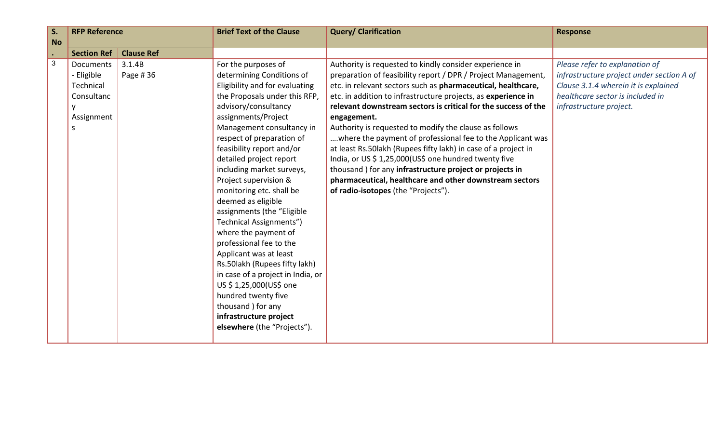| S.             | <b>RFP Reference</b> |                   | <b>Brief Text of the Clause</b>   | <b>Query/ Clarification</b>                                    | <b>Response</b>                           |
|----------------|----------------------|-------------------|-----------------------------------|----------------------------------------------------------------|-------------------------------------------|
| <b>No</b>      |                      |                   |                                   |                                                                |                                           |
| $\bullet$      | <b>Section Ref</b>   | <b>Clause Ref</b> |                                   |                                                                |                                           |
| $\overline{3}$ | Documents            | 3.1.4B            | For the purposes of               | Authority is requested to kindly consider experience in        | Please refer to explanation of            |
|                | - Eligible           | Page #36          | determining Conditions of         | preparation of feasibility report / DPR / Project Management,  | infrastructure project under section A of |
|                | Technical            |                   | Eligibility and for evaluating    | etc. in relevant sectors such as pharmaceutical, healthcare,   | Clause 3.1.4 wherein it is explained      |
|                | Consultanc           |                   | the Proposals under this RFP,     | etc. in addition to infrastructure projects, as experience in  | healthcare sector is included in          |
|                |                      |                   | advisory/consultancy              | relevant downstream sectors is critical for the success of the | infrastructure project.                   |
|                | Assignment           |                   | assignments/Project               | engagement.                                                    |                                           |
|                | S                    |                   | Management consultancy in         | Authority is requested to modify the clause as follows         |                                           |
|                |                      |                   | respect of preparation of         | where the payment of professional fee to the Applicant was     |                                           |
|                |                      |                   | feasibility report and/or         | at least Rs.50lakh (Rupees fifty lakh) in case of a project in |                                           |
|                |                      |                   | detailed project report           | India, or US \$ 1,25,000(US\$ one hundred twenty five          |                                           |
|                |                      |                   | including market surveys,         | thousand ) for any infrastructure project or projects in       |                                           |
|                |                      |                   | Project supervision &             | pharmaceutical, healthcare and other downstream sectors        |                                           |
|                |                      |                   | monitoring etc. shall be          | of radio-isotopes (the "Projects").                            |                                           |
|                |                      |                   | deemed as eligible                |                                                                |                                           |
|                |                      |                   | assignments (the "Eligible        |                                                                |                                           |
|                |                      |                   | Technical Assignments")           |                                                                |                                           |
|                |                      |                   | where the payment of              |                                                                |                                           |
|                |                      |                   | professional fee to the           |                                                                |                                           |
|                |                      |                   | Applicant was at least            |                                                                |                                           |
|                |                      |                   | Rs.50lakh (Rupees fifty lakh)     |                                                                |                                           |
|                |                      |                   | in case of a project in India, or |                                                                |                                           |
|                |                      |                   | US \$1,25,000(US\$ one            |                                                                |                                           |
|                |                      |                   | hundred twenty five               |                                                                |                                           |
|                |                      |                   | thousand ) for any                |                                                                |                                           |
|                |                      |                   | infrastructure project            |                                                                |                                           |
|                |                      |                   | elsewhere (the "Projects").       |                                                                |                                           |
|                |                      |                   |                                   |                                                                |                                           |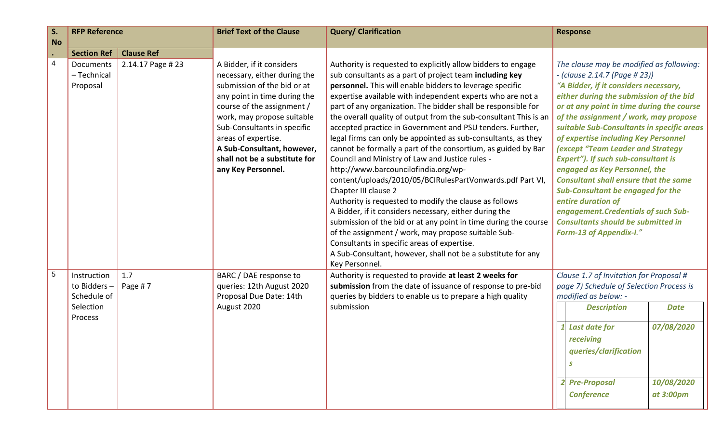| S.        | <b>RFP Reference</b>                                              |                                       | <b>Brief Text of the Clause</b>                                                                                                                                                                                                            | <b>Query/ Clarification</b>                                                                                                                                                                                                                                                                                                                                                                                                                                                                                                                                                                                                  | <b>Response</b>                                                                                                                                                                                                                                                                                                                                           |
|-----------|-------------------------------------------------------------------|---------------------------------------|--------------------------------------------------------------------------------------------------------------------------------------------------------------------------------------------------------------------------------------------|------------------------------------------------------------------------------------------------------------------------------------------------------------------------------------------------------------------------------------------------------------------------------------------------------------------------------------------------------------------------------------------------------------------------------------------------------------------------------------------------------------------------------------------------------------------------------------------------------------------------------|-----------------------------------------------------------------------------------------------------------------------------------------------------------------------------------------------------------------------------------------------------------------------------------------------------------------------------------------------------------|
| <b>No</b> |                                                                   |                                       |                                                                                                                                                                                                                                            |                                                                                                                                                                                                                                                                                                                                                                                                                                                                                                                                                                                                                              |                                                                                                                                                                                                                                                                                                                                                           |
| 4         | <b>Section Ref</b><br>Documents<br>- Technical<br>Proposal        | <b>Clause Ref</b><br>2.14.17 Page #23 | A Bidder, if it considers<br>necessary, either during the<br>submission of the bid or at<br>any point in time during the<br>course of the assignment /<br>work, may propose suitable<br>Sub-Consultants in specific<br>areas of expertise. | Authority is requested to explicitly allow bidders to engage<br>sub consultants as a part of project team including key<br>personnel. This will enable bidders to leverage specific<br>expertise available with independent experts who are not a<br>part of any organization. The bidder shall be responsible for<br>the overall quality of output from the sub-consultant This is an<br>accepted practice in Government and PSU tenders. Further,<br>legal firms can only be appointed as sub-consultants, as they                                                                                                         | The clause may be modified as following:<br>- (clause 2.14.7 (Page # 23))<br>"A Bidder, if it considers necessary,<br>either during the submission of the bid<br>or at any point in time during the course<br>of the assignment / work, may propose<br>suitable Sub-Consultants in specific areas<br>of expertise including Key Personnel                 |
|           |                                                                   |                                       | A Sub-Consultant, however,<br>shall not be a substitute for<br>any Key Personnel.                                                                                                                                                          | cannot be formally a part of the consortium, as guided by Bar<br>Council and Ministry of Law and Justice rules -<br>http://www.barcouncilofindia.org/wp-<br>content/uploads/2010/05/BCIRulesPartVonwards.pdf Part VI,<br>Chapter III clause 2<br>Authority is requested to modify the clause as follows<br>A Bidder, if it considers necessary, either during the<br>submission of the bid or at any point in time during the course<br>of the assignment / work, may propose suitable Sub-<br>Consultants in specific areas of expertise.<br>A Sub-Consultant, however, shall not be a substitute for any<br>Key Personnel. | (except "Team Leader and Strategy<br><b>Expert"). If such sub-consultant is</b><br>engaged as Key Personnel, the<br><b>Consultant shall ensure that the same</b><br><b>Sub-Consultant be engaged for the</b><br>entire duration of<br>engagement. Credentials of such Sub-<br><b>Consultants should be submitted in</b><br><b>Form-13 of Appendix-I."</b> |
| 5         | Instruction<br>to Bidders-<br>Schedule of<br>Selection<br>Process | 1.7<br>Page #7                        | BARC / DAE response to<br>queries: 12th August 2020<br>Proposal Due Date: 14th<br>August 2020                                                                                                                                              | Authority is requested to provide at least 2 weeks for<br>submission from the date of issuance of response to pre-bid<br>queries by bidders to enable us to prepare a high quality<br>submission                                                                                                                                                                                                                                                                                                                                                                                                                             | Clause 1.7 of Invitation for Proposal #<br>page 7) Schedule of Selection Process is<br>modified as below: -<br><b>Description</b><br><b>Date</b><br>07/08/2020<br><b>Last date for</b><br>receiving<br>queries/clarification                                                                                                                              |
|           |                                                                   |                                       |                                                                                                                                                                                                                                            |                                                                                                                                                                                                                                                                                                                                                                                                                                                                                                                                                                                                                              | 10/08/2020<br><b>Pre-Proposal</b><br><b>Conference</b><br>at 3:00pm                                                                                                                                                                                                                                                                                       |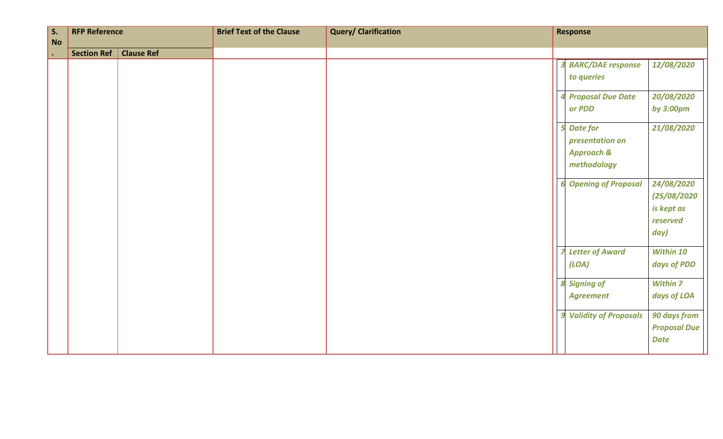| $\vert$ S.<br><b>No</b> | <b>RFP Reference</b> |                   | <b>Brief Text of the Clause</b> | <b>Query/ Clarification</b> | <b>Response</b>                                                            |                                                             |
|-------------------------|----------------------|-------------------|---------------------------------|-----------------------------|----------------------------------------------------------------------------|-------------------------------------------------------------|
| $\bullet$               | <b>Section Ref</b>   | <b>Clause Ref</b> |                                 |                             |                                                                            |                                                             |
|                         |                      |                   |                                 |                             | <b>BARC/DAE</b> response<br>to queries                                     | 12/08/2020                                                  |
|                         |                      |                   |                                 |                             | <b>Proposal Due Date</b><br>or PDD                                         | 20/08/2020<br>by 3:00pm                                     |
|                         |                      |                   |                                 |                             | <b>Date for</b><br>presentation on<br><b>Approach &amp;</b><br>methodology | 21/08/2020                                                  |
|                         |                      |                   |                                 |                             | <b>Opening of Proposal</b>                                                 | 24/08/2020<br>(25/08/2020<br>is kept as<br>reserved<br>day) |
|                         |                      |                   |                                 |                             | <b>Letter of Award</b><br>(LOA)                                            | Within 10<br>days of PDD                                    |
|                         |                      |                   |                                 |                             | 8 Signing of<br><b>Agreement</b>                                           | <b>Within 7</b><br>days of LOA                              |
|                         |                      |                   |                                 |                             | <b>Validity of Proposals</b>                                               | 90 days from<br><b>Proposal Due</b><br><b>Date</b>          |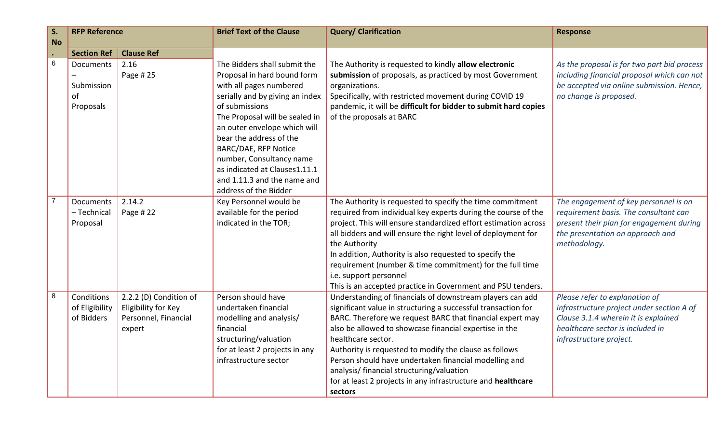| S.             | <b>RFP Reference</b> |                        | <b>Brief Text of the Clause</b>                   | <b>Query/ Clarification</b>                                                                                         | <b>Response</b>                             |
|----------------|----------------------|------------------------|---------------------------------------------------|---------------------------------------------------------------------------------------------------------------------|---------------------------------------------|
| <b>No</b>      |                      |                        |                                                   |                                                                                                                     |                                             |
|                | <b>Section Ref</b>   | <b>Clause Ref</b>      |                                                   |                                                                                                                     |                                             |
| $6\phantom{1}$ | Documents            | 2.16                   | The Bidders shall submit the                      | The Authority is requested to kindly allow electronic                                                               | As the proposal is for two part bid process |
|                |                      | Page #25               | Proposal in hard bound form                       | submission of proposals, as practiced by most Government                                                            | including financial proposal which can not  |
|                | Submission           |                        | with all pages numbered                           | organizations.                                                                                                      | be accepted via online submission. Hence,   |
|                | of                   |                        | serially and by giving an index<br>of submissions | Specifically, with restricted movement during COVID 19                                                              | no change is proposed.                      |
|                | Proposals            |                        | The Proposal will be sealed in                    | pandemic, it will be difficult for bidder to submit hard copies<br>of the proposals at BARC                         |                                             |
|                |                      |                        | an outer envelope which will                      |                                                                                                                     |                                             |
|                |                      |                        | bear the address of the                           |                                                                                                                     |                                             |
|                |                      |                        | <b>BARC/DAE, RFP Notice</b>                       |                                                                                                                     |                                             |
|                |                      |                        | number, Consultancy name                          |                                                                                                                     |                                             |
|                |                      |                        | as indicated at Clauses1.11.1                     |                                                                                                                     |                                             |
|                |                      |                        | and 1.11.3 and the name and                       |                                                                                                                     |                                             |
|                |                      |                        | address of the Bidder                             |                                                                                                                     |                                             |
|                | <b>Documents</b>     | 2.14.2                 | Key Personnel would be                            | The Authority is requested to specify the time commitment                                                           | The engagement of key personnel is on       |
|                | - Technical          | Page #22               | available for the period                          | required from individual key experts during the course of the                                                       | requirement basis. The consultant can       |
|                | Proposal             |                        | indicated in the TOR;                             | project. This will ensure standardized effort estimation across                                                     | present their plan for engagement during    |
|                |                      |                        |                                                   | all bidders and will ensure the right level of deployment for                                                       | the presentation on approach and            |
|                |                      |                        |                                                   | the Authority                                                                                                       | methodology.                                |
|                |                      |                        |                                                   | In addition, Authority is also requested to specify the<br>requirement (number & time commitment) for the full time |                                             |
|                |                      |                        |                                                   | i.e. support personnel                                                                                              |                                             |
|                |                      |                        |                                                   | This is an accepted practice in Government and PSU tenders.                                                         |                                             |
| 8              | Conditions           | 2.2.2 (D) Condition of | Person should have                                | Understanding of financials of downstream players can add                                                           | Please refer to explanation of              |
|                | of Eligibility       | Eligibility for Key    | undertaken financial                              | significant value in structuring a successful transaction for                                                       | infrastructure project under section A of   |
|                | of Bidders           | Personnel, Financial   | modelling and analysis/                           | BARC. Therefore we request BARC that financial expert may                                                           | Clause 3.1.4 wherein it is explained        |
|                |                      | expert                 | financial                                         | also be allowed to showcase financial expertise in the                                                              | healthcare sector is included in            |
|                |                      |                        | structuring/valuation                             | healthcare sector.                                                                                                  | infrastructure project.                     |
|                |                      |                        | for at least 2 projects in any                    | Authority is requested to modify the clause as follows                                                              |                                             |
|                |                      |                        | infrastructure sector                             | Person should have undertaken financial modelling and                                                               |                                             |
|                |                      |                        |                                                   | analysis/ financial structuring/valuation                                                                           |                                             |
|                |                      |                        |                                                   | for at least 2 projects in any infrastructure and healthcare                                                        |                                             |
|                |                      |                        |                                                   | sectors                                                                                                             |                                             |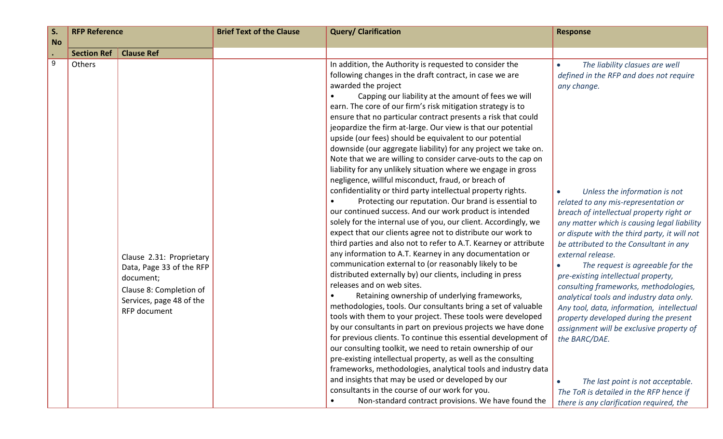| S <sub>1</sub><br><b>No</b> | <b>RFP Reference</b> |                                                                                                                                          | <b>Brief Text of the Clause</b> | <b>Query/ Clarification</b>                                                                                                                                                                                                                                                                                                                                                                                                                                                                                                                                                                                                                                                                                                                                                                                                                                                                                                                                                                                                                                                                                                                                                                                                                                                                                                                                                                                                                                                                                                                                                                                                                                                                                                                                                                                                                                                                                                                                                                                       | <b>Response</b>                                                                                                                                                                                                                                                                                                                                                                                                                                                                                                                                                                                                                                                                                                                                                                                                                         |
|-----------------------------|----------------------|------------------------------------------------------------------------------------------------------------------------------------------|---------------------------------|-------------------------------------------------------------------------------------------------------------------------------------------------------------------------------------------------------------------------------------------------------------------------------------------------------------------------------------------------------------------------------------------------------------------------------------------------------------------------------------------------------------------------------------------------------------------------------------------------------------------------------------------------------------------------------------------------------------------------------------------------------------------------------------------------------------------------------------------------------------------------------------------------------------------------------------------------------------------------------------------------------------------------------------------------------------------------------------------------------------------------------------------------------------------------------------------------------------------------------------------------------------------------------------------------------------------------------------------------------------------------------------------------------------------------------------------------------------------------------------------------------------------------------------------------------------------------------------------------------------------------------------------------------------------------------------------------------------------------------------------------------------------------------------------------------------------------------------------------------------------------------------------------------------------------------------------------------------------------------------------------------------------|-----------------------------------------------------------------------------------------------------------------------------------------------------------------------------------------------------------------------------------------------------------------------------------------------------------------------------------------------------------------------------------------------------------------------------------------------------------------------------------------------------------------------------------------------------------------------------------------------------------------------------------------------------------------------------------------------------------------------------------------------------------------------------------------------------------------------------------------|
| $\bullet$                   | <b>Section Ref</b>   | <b>Clause Ref</b>                                                                                                                        |                                 |                                                                                                                                                                                                                                                                                                                                                                                                                                                                                                                                                                                                                                                                                                                                                                                                                                                                                                                                                                                                                                                                                                                                                                                                                                                                                                                                                                                                                                                                                                                                                                                                                                                                                                                                                                                                                                                                                                                                                                                                                   |                                                                                                                                                                                                                                                                                                                                                                                                                                                                                                                                                                                                                                                                                                                                                                                                                                         |
| 9                           | Others               | Clause 2.31: Proprietary<br>Data, Page 33 of the RFP<br>document;<br>Clause 8: Completion of<br>Services, page 48 of the<br>RFP document |                                 | In addition, the Authority is requested to consider the<br>following changes in the draft contract, in case we are<br>awarded the project<br>Capping our liability at the amount of fees we will<br>earn. The core of our firm's risk mitigation strategy is to<br>ensure that no particular contract presents a risk that could<br>jeopardize the firm at-large. Our view is that our potential<br>upside (our fees) should be equivalent to our potential<br>downside (our aggregate liability) for any project we take on.<br>Note that we are willing to consider carve-outs to the cap on<br>liability for any unlikely situation where we engage in gross<br>negligence, willful misconduct, fraud, or breach of<br>confidentiality or third party intellectual property rights.<br>Protecting our reputation. Our brand is essential to<br>our continued success. And our work product is intended<br>solely for the internal use of you, our client. Accordingly, we<br>expect that our clients agree not to distribute our work to<br>third parties and also not to refer to A.T. Kearney or attribute<br>any information to A.T. Kearney in any documentation or<br>communication external to (or reasonably likely to be<br>distributed externally by) our clients, including in press<br>releases and on web sites.<br>Retaining ownership of underlying frameworks,<br>methodologies, tools. Our consultants bring a set of valuable<br>tools with them to your project. These tools were developed<br>by our consultants in part on previous projects we have done<br>for previous clients. To continue this essential development of<br>our consulting toolkit, we need to retain ownership of our<br>pre-existing intellectual property, as well as the consulting<br>frameworks, methodologies, analytical tools and industry data<br>and insights that may be used or developed by our<br>consultants in the course of our work for you.<br>Non-standard contract provisions. We have found the | The liability clasues are well<br>$\bullet$<br>defined in the RFP and does not require<br>any change.<br>Unless the information is not<br>related to any mis-representation or<br>breach of intellectual property right or<br>any matter which is causing legal liability<br>or dispute with the third party, it will not<br>be attributed to the Consultant in any<br>external release.<br>The request is agreeable for the<br>pre-existing intellectual property,<br>consulting frameworks, methodologies,<br>analytical tools and industry data only.<br>Any tool, data, information, intellectual<br>property developed during the present<br>assignment will be exclusive property of<br>the BARC/DAE.<br>The last point is not acceptable.<br>The ToR is detailed in the RFP hence if<br>there is any clarification required, the |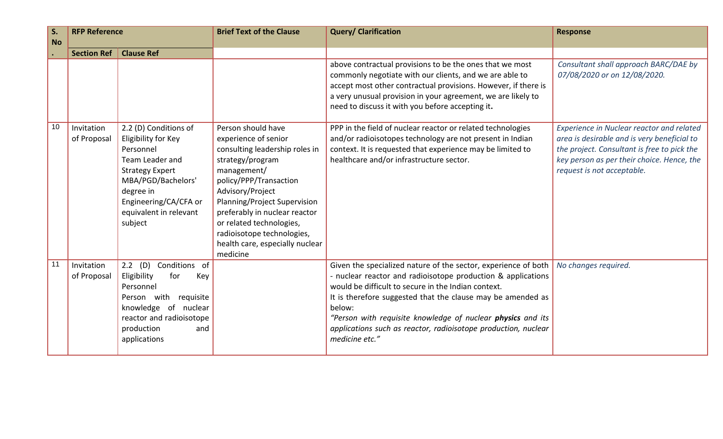| S <sub>1</sub><br><b>No</b> | <b>RFP Reference</b>      |                                                                                                                                                                                                         | <b>Brief Text of the Clause</b>                                                                                                                                                                                                                                                                                                         | <b>Query/ Clarification</b>                                                                                                                                                                                                                                                                                                                                                                                       | <b>Response</b>                                                                                                                                                                                                     |
|-----------------------------|---------------------------|---------------------------------------------------------------------------------------------------------------------------------------------------------------------------------------------------------|-----------------------------------------------------------------------------------------------------------------------------------------------------------------------------------------------------------------------------------------------------------------------------------------------------------------------------------------|-------------------------------------------------------------------------------------------------------------------------------------------------------------------------------------------------------------------------------------------------------------------------------------------------------------------------------------------------------------------------------------------------------------------|---------------------------------------------------------------------------------------------------------------------------------------------------------------------------------------------------------------------|
|                             | <b>Section Ref</b>        | <b>Clause Ref</b>                                                                                                                                                                                       |                                                                                                                                                                                                                                                                                                                                         |                                                                                                                                                                                                                                                                                                                                                                                                                   |                                                                                                                                                                                                                     |
|                             |                           |                                                                                                                                                                                                         |                                                                                                                                                                                                                                                                                                                                         | above contractual provisions to be the ones that we most<br>commonly negotiate with our clients, and we are able to<br>accept most other contractual provisions. However, if there is<br>a very unusual provision in your agreement, we are likely to<br>need to discuss it with you before accepting it.                                                                                                         | Consultant shall approach BARC/DAE by<br>07/08/2020 or on 12/08/2020.                                                                                                                                               |
| 10                          | Invitation<br>of Proposal | 2.2 (D) Conditions of<br>Eligibility for Key<br>Personnel<br>Team Leader and<br><b>Strategy Expert</b><br>MBA/PGD/Bachelors'<br>degree in<br>Engineering/CA/CFA or<br>equivalent in relevant<br>subject | Person should have<br>experience of senior<br>consulting leadership roles in<br>strategy/program<br>management/<br>policy/PPP/Transaction<br>Advisory/Project<br>Planning/Project Supervision<br>preferably in nuclear reactor<br>or related technologies,<br>radioisotope technologies,<br>health care, especially nuclear<br>medicine | PPP in the field of nuclear reactor or related technologies<br>and/or radioisotopes technology are not present in Indian<br>context. It is requested that experience may be limited to<br>healthcare and/or infrastructure sector.                                                                                                                                                                                | Experience in Nuclear reactor and related<br>area is desirable and is very beneficial to<br>the project. Consultant is free to pick the<br>key person as per their choice. Hence, the<br>request is not acceptable. |
| 11                          | Invitation<br>of Proposal | $2.2$ (D)<br>Conditions of<br>Eligibility<br>for<br>Key<br>Personnel<br>Person with<br>requisite<br>knowledge of nuclear<br>reactor and radioisotope<br>production<br>and<br>applications               |                                                                                                                                                                                                                                                                                                                                         | Given the specialized nature of the sector, experience of both<br>- nuclear reactor and radioisotope production & applications<br>would be difficult to secure in the Indian context.<br>It is therefore suggested that the clause may be amended as<br>below:<br>"Person with requisite knowledge of nuclear physics and its<br>applications such as reactor, radioisotope production, nuclear<br>medicine etc." | No changes required.                                                                                                                                                                                                |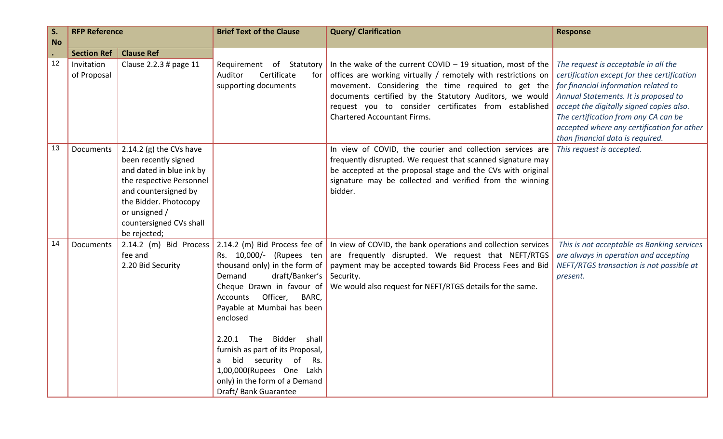| S.              | <b>RFP Reference</b> |                                        | <b>Brief Text of the Clause</b>  | <b>Query/ Clarification</b>                                                                                      | <b>Response</b>                                                                  |
|-----------------|----------------------|----------------------------------------|----------------------------------|------------------------------------------------------------------------------------------------------------------|----------------------------------------------------------------------------------|
| <b>No</b>       |                      |                                        |                                  |                                                                                                                  |                                                                                  |
|                 | <b>Section Ref</b>   | <b>Clause Ref</b>                      |                                  |                                                                                                                  |                                                                                  |
| 12              | Invitation           | Clause 2.2.3 # page 11                 | Requirement of Statutory         | In the wake of the current COVID $-$ 19 situation, most of the                                                   | The request is acceptable in all the                                             |
|                 | of Proposal          |                                        | Certificate<br>Auditor<br>for    | offices are working virtually / remotely with restrictions on                                                    | certification except for thee certification                                      |
|                 |                      |                                        | supporting documents             | movement. Considering the time required to get the                                                               | for financial information related to                                             |
|                 |                      |                                        |                                  | documents certified by the Statutory Auditors, we would<br>request you to consider certificates from established | Annual Statements. It is proposed to                                             |
|                 |                      |                                        |                                  | <b>Chartered Accountant Firms.</b>                                                                               | accept the digitally signed copies also.<br>The certification from any CA can be |
|                 |                      |                                        |                                  |                                                                                                                  | accepted where any certification for other                                       |
|                 |                      |                                        |                                  |                                                                                                                  | than financial data is required.                                                 |
| 13              | <b>Documents</b>     | 2.14.2 (g) the CVs have                |                                  | In view of COVID, the courier and collection services are                                                        | This request is accepted.                                                        |
|                 |                      | been recently signed                   |                                  | frequently disrupted. We request that scanned signature may                                                      |                                                                                  |
|                 |                      | and dated in blue ink by               |                                  | be accepted at the proposal stage and the CVs with original                                                      |                                                                                  |
|                 |                      | the respective Personnel               |                                  | signature may be collected and verified from the winning                                                         |                                                                                  |
|                 |                      | and countersigned by                   |                                  | bidder.                                                                                                          |                                                                                  |
|                 |                      | the Bidder. Photocopy<br>or unsigned / |                                  |                                                                                                                  |                                                                                  |
|                 |                      | countersigned CVs shall                |                                  |                                                                                                                  |                                                                                  |
|                 |                      | be rejected;                           |                                  |                                                                                                                  |                                                                                  |
| $\overline{14}$ | Documents            | 2.14.2 (m) Bid Process                 |                                  | 2.14.2 (m) Bid Process fee of In view of COVID, the bank operations and collection services                      | This is not acceptable as Banking services                                       |
|                 |                      | fee and                                | Rs. 10,000/- (Rupees ten         | are frequently disrupted. We request that NEFT/RTGS                                                              | are always in operation and accepting                                            |
|                 |                      | 2.20 Bid Security                      | thousand only) in the form of    | payment may be accepted towards Bid Process Fees and Bid                                                         | NEFT/RTGS transaction is not possible at                                         |
|                 |                      |                                        | draft/Banker's<br>Demand         | Security.                                                                                                        | present.                                                                         |
|                 |                      |                                        | Cheque Drawn in favour of        | We would also request for NEFT/RTGS details for the same.                                                        |                                                                                  |
|                 |                      |                                        | Officer,<br>BARC,<br>Accounts    |                                                                                                                  |                                                                                  |
|                 |                      |                                        | Payable at Mumbai has been       |                                                                                                                  |                                                                                  |
|                 |                      |                                        | enclosed                         |                                                                                                                  |                                                                                  |
|                 |                      |                                        | 2.20.1 The Bidder shall          |                                                                                                                  |                                                                                  |
|                 |                      |                                        | furnish as part of its Proposal, |                                                                                                                  |                                                                                  |
|                 |                      |                                        | bid security of Rs.              |                                                                                                                  |                                                                                  |
|                 |                      |                                        | 1,00,000(Rupees One Lakh         |                                                                                                                  |                                                                                  |
|                 |                      |                                        | only) in the form of a Demand    |                                                                                                                  |                                                                                  |
|                 |                      |                                        | Draft/ Bank Guarantee            |                                                                                                                  |                                                                                  |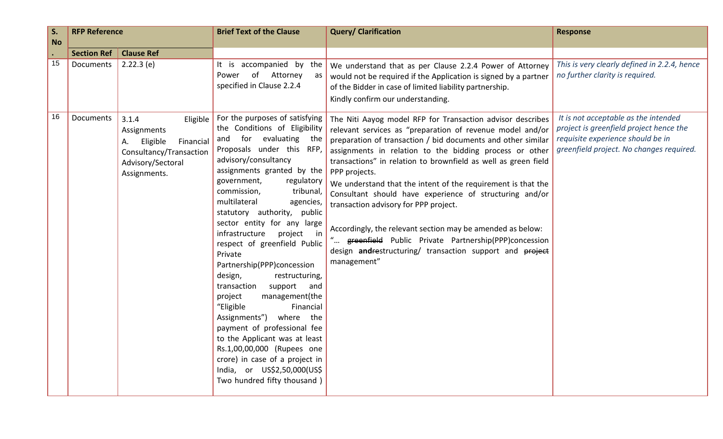| S.        | <b>RFP Reference</b>            |                                                                                                                                 | <b>Brief Text of the Clause</b>                                                                                                                                                                                                                                                                                                                                                                                                                                                                                                                                                                                                                                                                                                                                                               | <b>Query/ Clarification</b>                                                                                                                                                                                                                                                                                                                                                                                                                                                                                                                                                                                                                                                                                | <b>Response</b>                                                                                                                                                  |
|-----------|---------------------------------|---------------------------------------------------------------------------------------------------------------------------------|-----------------------------------------------------------------------------------------------------------------------------------------------------------------------------------------------------------------------------------------------------------------------------------------------------------------------------------------------------------------------------------------------------------------------------------------------------------------------------------------------------------------------------------------------------------------------------------------------------------------------------------------------------------------------------------------------------------------------------------------------------------------------------------------------|------------------------------------------------------------------------------------------------------------------------------------------------------------------------------------------------------------------------------------------------------------------------------------------------------------------------------------------------------------------------------------------------------------------------------------------------------------------------------------------------------------------------------------------------------------------------------------------------------------------------------------------------------------------------------------------------------------|------------------------------------------------------------------------------------------------------------------------------------------------------------------|
| <b>No</b> |                                 |                                                                                                                                 |                                                                                                                                                                                                                                                                                                                                                                                                                                                                                                                                                                                                                                                                                                                                                                                               |                                                                                                                                                                                                                                                                                                                                                                                                                                                                                                                                                                                                                                                                                                            |                                                                                                                                                                  |
| 15        | <b>Section Ref</b><br>Documents | <b>Clause Ref</b><br>$2.22.3$ (e)                                                                                               | It is accompanied by the<br>of Attorney<br>Power<br>as<br>specified in Clause 2.2.4                                                                                                                                                                                                                                                                                                                                                                                                                                                                                                                                                                                                                                                                                                           | We understand that as per Clause 2.2.4 Power of Attorney<br>would not be required if the Application is signed by a partner<br>of the Bidder in case of limited liability partnership.<br>Kindly confirm our understanding.                                                                                                                                                                                                                                                                                                                                                                                                                                                                                | This is very clearly defined in 2.2.4, hence<br>no further clarity is required.                                                                                  |
| 16        | Documents                       | 3.1.4<br>Eligible<br>Assignments<br>Financial<br>Eligible<br>А.<br>Consultancy/Transaction<br>Advisory/Sectoral<br>Assignments. | For the purposes of satisfying<br>the Conditions of Eligibility<br>and for evaluating<br>the<br>Proposals under this RFP,<br>advisory/consultancy<br>assignments granted by the<br>government,<br>regulatory<br>tribunal,<br>commission,<br>multilateral<br>agencies,<br>statutory authority, public<br>sector entity for any large<br>infrastructure<br>project in<br>respect of greenfield Public<br>Private<br>Partnership(PPP)concession<br>design,<br>restructuring,<br>support<br>transaction<br>and<br>management(the<br>project<br>"Eligible<br>Financial<br>Assignments")<br>where the<br>payment of professional fee<br>to the Applicant was at least<br>Rs.1,00,00,000 (Rupees one<br>crore) in case of a project in<br>India, or US\$2,50,000(US\$<br>Two hundred fifty thousand) | The Niti Aayog model RFP for Transaction advisor describes<br>relevant services as "preparation of revenue model and/or<br>preparation of transaction / bid documents and other similar<br>assignments in relation to the bidding process or other<br>transactions" in relation to brownfield as well as green field<br>PPP projects.<br>We understand that the intent of the requirement is that the<br>Consultant should have experience of structuring and/or<br>transaction advisory for PPP project.<br>Accordingly, the relevant section may be amended as below:<br>greenfield Public Private Partnership(PPP)concession<br>design andrestructuring/ transaction support and project<br>management" | It is not acceptable as the intended<br>project is greenfield project hence the<br>requisite experience should be in<br>greenfield project. No changes required. |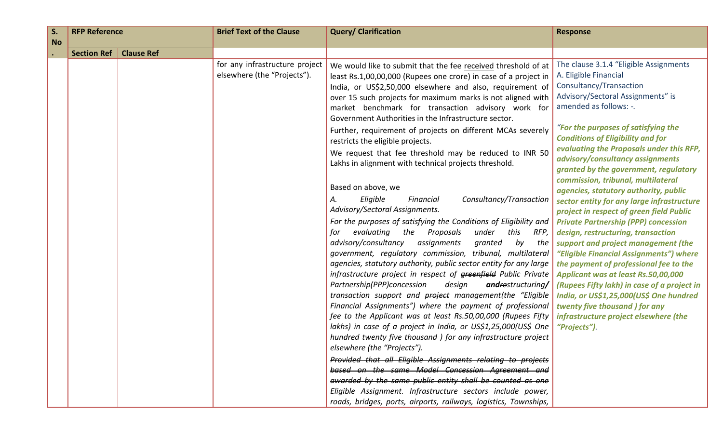| S.        | <b>RFP Reference</b> |                   | <b>Brief Text of the Clause</b>                               | <b>Query/ Clarification</b>                                                                                                  | <b>Response</b>                                                                        |
|-----------|----------------------|-------------------|---------------------------------------------------------------|------------------------------------------------------------------------------------------------------------------------------|----------------------------------------------------------------------------------------|
| <b>No</b> |                      |                   |                                                               |                                                                                                                              |                                                                                        |
|           | <b>Section Ref</b>   | <b>Clause Ref</b> |                                                               |                                                                                                                              |                                                                                        |
|           |                      |                   | for any infrastructure project<br>elsewhere (the "Projects"). | We would like to submit that the fee received threshold of at                                                                | The clause 3.1.4 "Eligible Assignments<br>A. Eligible Financial                        |
|           |                      |                   |                                                               | least Rs.1,00,00,000 (Rupees one crore) in case of a project in                                                              | Consultancy/Transaction                                                                |
|           |                      |                   |                                                               | India, or US\$2,50,000 elsewhere and also, requirement of<br>over 15 such projects for maximum marks is not aligned with     | Advisory/Sectoral Assignments" is                                                      |
|           |                      |                   |                                                               | market benchmark for transaction advisory work for                                                                           | amended as follows: -.                                                                 |
|           |                      |                   |                                                               | Government Authorities in the Infrastructure sector.                                                                         |                                                                                        |
|           |                      |                   |                                                               | Further, requirement of projects on different MCAs severely                                                                  | "For the purposes of satisfying the                                                    |
|           |                      |                   |                                                               | restricts the eligible projects.                                                                                             | <b>Conditions of Eligibility and for</b>                                               |
|           |                      |                   |                                                               | We request that fee threshold may be reduced to INR 50                                                                       | evaluating the Proposals under this RFP,                                               |
|           |                      |                   |                                                               | Lakhs in alignment with technical projects threshold.                                                                        | advisory/consultancy assignments                                                       |
|           |                      |                   |                                                               |                                                                                                                              | granted by the government, regulatory                                                  |
|           |                      |                   |                                                               | Based on above, we                                                                                                           | commission, tribunal, multilateral<br>agencies, statutory authority, public            |
|           |                      |                   |                                                               | Eligible<br>Consultancy/Transaction<br>Financial<br>А.                                                                       | sector entity for any large infrastructure                                             |
|           |                      |                   |                                                               | Advisory/Sectoral Assignments.                                                                                               | project in respect of green field Public                                               |
|           |                      |                   |                                                               | For the purposes of satisfying the Conditions of Eligibility and                                                             | <b>Private Partnership (PPP) concession</b>                                            |
|           |                      |                   |                                                               | evaluating<br>the<br>Proposals<br>under<br>this<br>RFP,<br>for                                                               | design, restructuring, transaction                                                     |
|           |                      |                   |                                                               | advisory/consultancy<br>assignments<br>granted<br>by<br>the                                                                  | support and project management (the                                                    |
|           |                      |                   |                                                               | government, regulatory commission, tribunal, multilateral                                                                    | "Eligible Financial Assignments") where                                                |
|           |                      |                   |                                                               | agencies, statutory authority, public sector entity for any large                                                            | the payment of professional fee to the                                                 |
|           |                      |                   |                                                               | infrastructure project in respect of greenfield Public Private                                                               | Applicant was at least Rs.50,00,000                                                    |
|           |                      |                   |                                                               | Partnership(PPP)concession<br>design<br>andrestructuring/<br>transaction support and <b>project</b> management(the "Eligible | (Rupees Fifty lakh) in case of a project in<br>India, or US\$1,25,000(US\$ One hundred |
|           |                      |                   |                                                               | Financial Assignments") where the payment of professional                                                                    | twenty five thousand ) for any                                                         |
|           |                      |                   |                                                               | fee to the Applicant was at least Rs.50,00,000 (Rupees Fifty                                                                 | infrastructure project elsewhere (the                                                  |
|           |                      |                   |                                                               | lakhs) in case of a project in India, or US\$1,25,000(US\$ One                                                               | "Projects").                                                                           |
|           |                      |                   |                                                               | hundred twenty five thousand ) for any infrastructure project                                                                |                                                                                        |
|           |                      |                   |                                                               | elsewhere (the "Projects").                                                                                                  |                                                                                        |
|           |                      |                   |                                                               | Provided that all Eligible Assignments relating to projects                                                                  |                                                                                        |
|           |                      |                   |                                                               | based on the same Model Concession Agreement and                                                                             |                                                                                        |
|           |                      |                   |                                                               | awarded by the same public entity shall be counted as one                                                                    |                                                                                        |
|           |                      |                   |                                                               | Eligible Assignment. Infrastructure sectors include power,                                                                   |                                                                                        |
|           |                      |                   |                                                               | roads, bridges, ports, airports, railways, logistics, Townships,                                                             |                                                                                        |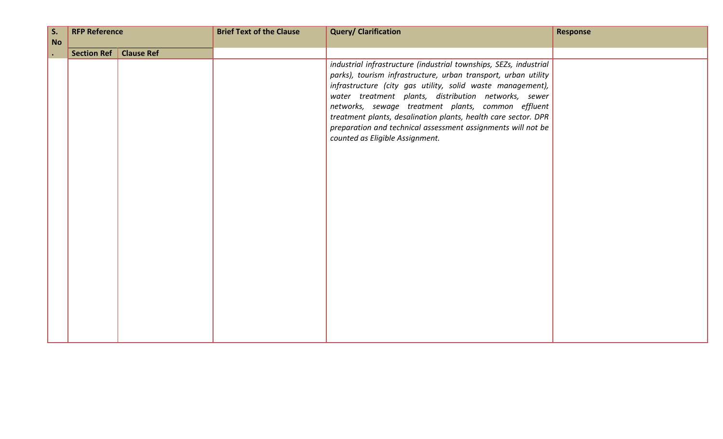| $\vert$ S. | <b>RFP Reference</b> |                   | <b>Brief Text of the Clause</b> | <b>Query/ Clarification</b>                                                                                                                                                                                                                                                                                                                                                                                                                                                          | <b>Response</b> |
|------------|----------------------|-------------------|---------------------------------|--------------------------------------------------------------------------------------------------------------------------------------------------------------------------------------------------------------------------------------------------------------------------------------------------------------------------------------------------------------------------------------------------------------------------------------------------------------------------------------|-----------------|
| <b>No</b>  |                      |                   |                                 |                                                                                                                                                                                                                                                                                                                                                                                                                                                                                      |                 |
| $\bullet$  | Section Ref          | <b>Clause Ref</b> |                                 |                                                                                                                                                                                                                                                                                                                                                                                                                                                                                      |                 |
|            |                      |                   |                                 | industrial infrastructure (industrial townships, SEZs, industrial<br>parks), tourism infrastructure, urban transport, urban utility<br>infrastructure (city gas utility, solid waste management),<br>water treatment plants, distribution networks, sewer<br>networks, sewage treatment plants, common effluent<br>treatment plants, desalination plants, health care sector. DPR<br>preparation and technical assessment assignments will not be<br>counted as Eligible Assignment. |                 |
|            |                      |                   |                                 |                                                                                                                                                                                                                                                                                                                                                                                                                                                                                      |                 |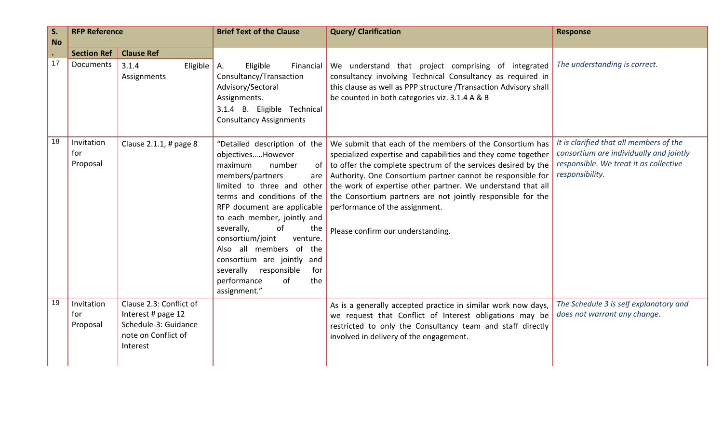| S.<br><b>No</b> | <b>RFP Reference</b>          |                                                                                                          | <b>Brief Text of the Clause</b>                                                                                                                                                                                                                                                                                                                                                                                                       | <b>Query/ Clarification</b>                                                                                                                                                                                                                                                                                                                                                                                                                                    | <b>Response</b>                                                                                                                                 |
|-----------------|-------------------------------|----------------------------------------------------------------------------------------------------------|---------------------------------------------------------------------------------------------------------------------------------------------------------------------------------------------------------------------------------------------------------------------------------------------------------------------------------------------------------------------------------------------------------------------------------------|----------------------------------------------------------------------------------------------------------------------------------------------------------------------------------------------------------------------------------------------------------------------------------------------------------------------------------------------------------------------------------------------------------------------------------------------------------------|-------------------------------------------------------------------------------------------------------------------------------------------------|
| $\bullet$       | <b>Section Ref</b>            | <b>Clause Ref</b>                                                                                        |                                                                                                                                                                                                                                                                                                                                                                                                                                       |                                                                                                                                                                                                                                                                                                                                                                                                                                                                |                                                                                                                                                 |
| 17              | Documents                     | 3.1.4<br>Eligible $\vert$ A.<br>Assignments                                                              | Eligible<br>Financial<br>Consultancy/Transaction<br>Advisory/Sectoral<br>Assignments.<br>3.1.4 B. Eligible Technical<br><b>Consultancy Assignments</b>                                                                                                                                                                                                                                                                                | We understand that project comprising of integrated<br>consultancy involving Technical Consultancy as required in<br>this clause as well as PPP structure /Transaction Advisory shall<br>be counted in both categories viz. 3.1.4 A & B                                                                                                                                                                                                                        | The understanding is correct.                                                                                                                   |
| 18              | Invitation<br>for<br>Proposal | Clause 2.1.1, # page 8                                                                                   | "Detailed description of the<br>objectivesHowever<br>maximum<br>number<br>of<br>members/partners<br>are<br>limited to three and other<br>terms and conditions of the<br>RFP document are applicable<br>to each member, jointly and<br>severally,<br>of<br>the<br>consortium/joint<br>venture.<br>Also all members of the<br>consortium are jointly and<br>severally<br>responsible<br>for<br>performance<br>of<br>the<br>assignment." | We submit that each of the members of the Consortium has<br>specialized expertise and capabilities and they come together<br>to offer the complete spectrum of the services desired by the<br>Authority. One Consortium partner cannot be responsible for<br>the work of expertise other partner. We understand that all<br>the Consortium partners are not jointly responsible for the<br>performance of the assignment.<br>Please confirm our understanding. | It is clarified that all members of the<br>consortium are individually and jointly<br>responsible. We treat it as collective<br>responsibility. |
| 19              | Invitation<br>for<br>Proposal | Clause 2.3: Conflict of<br>Interest # page 12<br>Schedule-3: Guidance<br>note on Conflict of<br>Interest |                                                                                                                                                                                                                                                                                                                                                                                                                                       | As is a generally accepted practice in similar work now days,<br>we request that Conflict of Interest obligations may be<br>restricted to only the Consultancy team and staff directly<br>involved in delivery of the engagement.                                                                                                                                                                                                                              | The Schedule 3 is self explanatory and<br>does not warrant any change.                                                                          |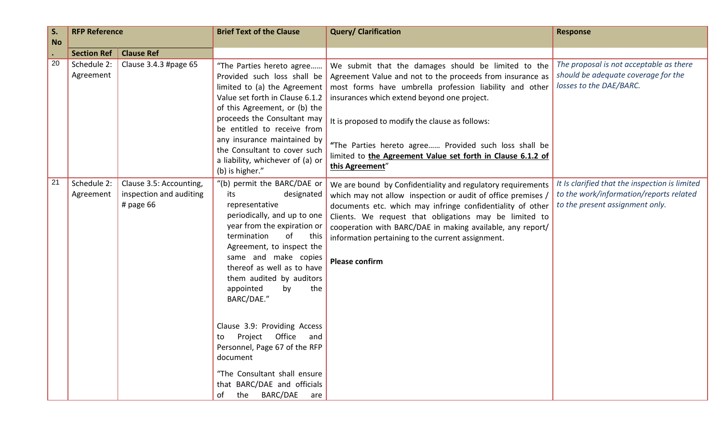| S.        | <b>RFP Reference</b>                           |                                                                 | <b>Brief Text of the Clause</b>                                                                                                                                                                                                                                                                                                                                                                                                                                                                                                              | <b>Query/ Clarification</b>                                                                                                                                                                                                                                                                                                                                                                                              | <b>Response</b>                                                                                                              |
|-----------|------------------------------------------------|-----------------------------------------------------------------|----------------------------------------------------------------------------------------------------------------------------------------------------------------------------------------------------------------------------------------------------------------------------------------------------------------------------------------------------------------------------------------------------------------------------------------------------------------------------------------------------------------------------------------------|--------------------------------------------------------------------------------------------------------------------------------------------------------------------------------------------------------------------------------------------------------------------------------------------------------------------------------------------------------------------------------------------------------------------------|------------------------------------------------------------------------------------------------------------------------------|
| <b>No</b> |                                                |                                                                 |                                                                                                                                                                                                                                                                                                                                                                                                                                                                                                                                              |                                                                                                                                                                                                                                                                                                                                                                                                                          |                                                                                                                              |
| 20        | <b>Section Ref</b><br>Schedule 2:<br>Agreement | <b>Clause Ref</b><br>Clause 3.4.3 #page 65                      | "The Parties hereto agree<br>Provided such loss shall be<br>limited to (a) the Agreement<br>Value set forth in Clause 6.1.2<br>of this Agreement, or (b) the<br>proceeds the Consultant may<br>be entitled to receive from<br>any insurance maintained by<br>the Consultant to cover such<br>a liability, whichever of (a) or                                                                                                                                                                                                                | We submit that the damages should be limited to the<br>Agreement Value and not to the proceeds from insurance as<br>most forms have umbrella profession liability and other<br>insurances which extend beyond one project.<br>It is proposed to modify the clause as follows:<br>"The Parties hereto agree Provided such loss shall be<br>limited to the Agreement Value set forth in Clause 6.1.2 of<br>this Agreement" | The proposal is not acceptable as there<br>should be adequate coverage for the<br>losses to the DAE/BARC.                    |
| 21        | Schedule 2:<br>Agreement                       | Clause 3.5: Accounting,<br>inspection and auditing<br># page 66 | (b) is higher."<br>"(b) permit the BARC/DAE or<br>its<br>designated<br>representative<br>periodically, and up to one<br>year from the expiration or<br>termination<br>of<br>this<br>Agreement, to inspect the<br>same and make copies<br>thereof as well as to have<br>them audited by auditors<br>the<br>appointed<br>by<br>BARC/DAE."<br>Clause 3.9: Providing Access<br>Office<br>Project<br>and<br>to<br>Personnel, Page 67 of the RFP<br>document<br>"The Consultant shall ensure<br>that BARC/DAE and officials<br>of the BARC/DAE are | We are bound by Confidentiality and regulatory requirements<br>which may not allow inspection or audit of office premises /<br>documents etc. which may infringe confidentiality of other<br>Clients. We request that obligations may be limited to<br>cooperation with BARC/DAE in making available, any report/<br>information pertaining to the current assignment.<br><b>Please confirm</b>                          | It Is clarified that the inspection is limited<br>to the work/information/reports related<br>to the present assignment only. |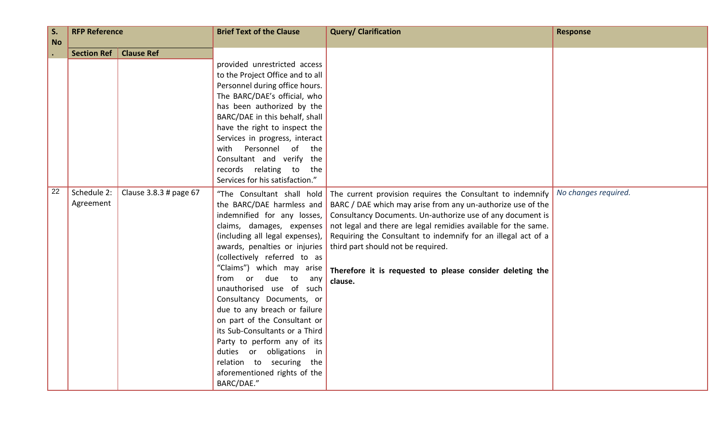| S.<br><b>No</b> | <b>RFP Reference</b>     |                        | <b>Brief Text of the Clause</b>                                                                                                                                                                                                                                                                                                                                                                                                                                                                                                                                               | <b>Query/ Clarification</b>                                                                                                                                                                                                                                                                                                                                                                                                              | <b>Response</b>      |
|-----------------|--------------------------|------------------------|-------------------------------------------------------------------------------------------------------------------------------------------------------------------------------------------------------------------------------------------------------------------------------------------------------------------------------------------------------------------------------------------------------------------------------------------------------------------------------------------------------------------------------------------------------------------------------|------------------------------------------------------------------------------------------------------------------------------------------------------------------------------------------------------------------------------------------------------------------------------------------------------------------------------------------------------------------------------------------------------------------------------------------|----------------------|
|                 | <b>Section Ref</b>       | <b>Clause Ref</b>      |                                                                                                                                                                                                                                                                                                                                                                                                                                                                                                                                                                               |                                                                                                                                                                                                                                                                                                                                                                                                                                          |                      |
|                 |                          |                        | provided unrestricted access<br>to the Project Office and to all<br>Personnel during office hours.<br>The BARC/DAE's official, who<br>has been authorized by the<br>BARC/DAE in this behalf, shall<br>have the right to inspect the<br>Services in progress, interact<br>with Personnel<br>of the<br>Consultant and verify the<br>records relating to<br>the<br>Services for his satisfaction."                                                                                                                                                                               |                                                                                                                                                                                                                                                                                                                                                                                                                                          |                      |
| 22              | Schedule 2:<br>Agreement | Clause 3.8.3 # page 67 | "The Consultant shall hold<br>the BARC/DAE harmless and<br>indemnified for any losses,<br>claims, damages, expenses<br>(including all legal expenses),<br>awards, penalties or injuries<br>(collectively referred to as<br>"Claims") which may arise<br>from or due to<br>any<br>unauthorised use of such<br>Consultancy Documents, or<br>due to any breach or failure<br>on part of the Consultant or<br>its Sub-Consultants or a Third<br>Party to perform any of its<br>duties or obligations in<br>relation to securing the<br>aforementioned rights of the<br>BARC/DAE." | The current provision requires the Consultant to indemnify<br>BARC / DAE which may arise from any un-authorize use of the<br>Consultancy Documents. Un-authorize use of any document is<br>not legal and there are legal remidies available for the same.<br>Requiring the Consultant to indemnify for an illegal act of a<br>third part should not be required.<br>Therefore it is requested to please consider deleting the<br>clause. | No changes required. |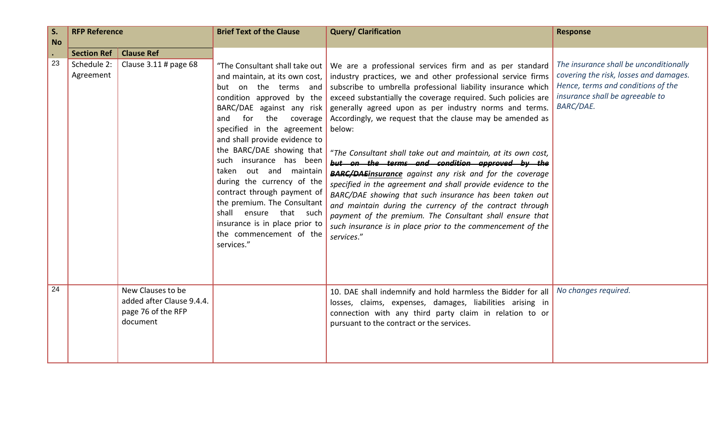| S.                           | <b>RFP Reference</b>                           |                                                                                  | <b>Brief Text of the Clause</b>                                                                                                                                                                                                                                                                                                                                                                                                                                                                             | <b>Query/ Clarification</b>                                                                                                                                                                                                                                                                                                                                                                                                                                                                                                                                                                                                                                                                                                                                                                                                                                                                                                                    | <b>Response</b>                                                                                                                                                               |
|------------------------------|------------------------------------------------|----------------------------------------------------------------------------------|-------------------------------------------------------------------------------------------------------------------------------------------------------------------------------------------------------------------------------------------------------------------------------------------------------------------------------------------------------------------------------------------------------------------------------------------------------------------------------------------------------------|------------------------------------------------------------------------------------------------------------------------------------------------------------------------------------------------------------------------------------------------------------------------------------------------------------------------------------------------------------------------------------------------------------------------------------------------------------------------------------------------------------------------------------------------------------------------------------------------------------------------------------------------------------------------------------------------------------------------------------------------------------------------------------------------------------------------------------------------------------------------------------------------------------------------------------------------|-------------------------------------------------------------------------------------------------------------------------------------------------------------------------------|
| <b>No</b><br>$\bullet$<br>23 | <b>Section Ref</b><br>Schedule 2:<br>Agreement | <b>Clause Ref</b><br>Clause 3.11 # page 68                                       | and maintain, at its own cost, $\vert$<br>but on the terms and<br>condition approved by the<br>BARC/DAE against any risk<br>for<br>the<br>and<br>coverage<br>specified in the agreement<br>and shall provide evidence to<br>the BARC/DAE showing that<br>such insurance has been<br>taken out and maintain<br>during the currency of the<br>contract through payment of<br>the premium. The Consultant<br>shall ensure that such<br>insurance is in place prior to<br>the commencement of the<br>services." | "The Consultant shall take out   We are a professional services firm and as per standard<br>industry practices, we and other professional service firms<br>subscribe to umbrella professional liability insurance which<br>exceed substantially the coverage required. Such policies are<br>generally agreed upon as per industry norms and terms.<br>Accordingly, we request that the clause may be amended as<br>below:<br>"The Consultant shall take out and maintain, at its own cost,<br>but on the terms and condition approved by the<br><b>BARC/DAEinsurance</b> against any risk and for the coverage<br>specified in the agreement and shall provide evidence to the<br>BARC/DAE showing that such insurance has been taken out<br>and maintain during the currency of the contract through<br>payment of the premium. The Consultant shall ensure that<br>such insurance is in place prior to the commencement of the<br>services." | The insurance shall be unconditionally<br>covering the risk, losses and damages.<br>Hence, terms and conditions of the<br>insurance shall be agreeable to<br><b>BARC/DAE.</b> |
| 24                           |                                                | New Clauses to be<br>added after Clause 9.4.4.<br>page 76 of the RFP<br>document |                                                                                                                                                                                                                                                                                                                                                                                                                                                                                                             | 10. DAE shall indemnify and hold harmless the Bidder for all<br>losses, claims, expenses, damages, liabilities arising in<br>connection with any third party claim in relation to or<br>pursuant to the contract or the services.                                                                                                                                                                                                                                                                                                                                                                                                                                                                                                                                                                                                                                                                                                              | No changes required.                                                                                                                                                          |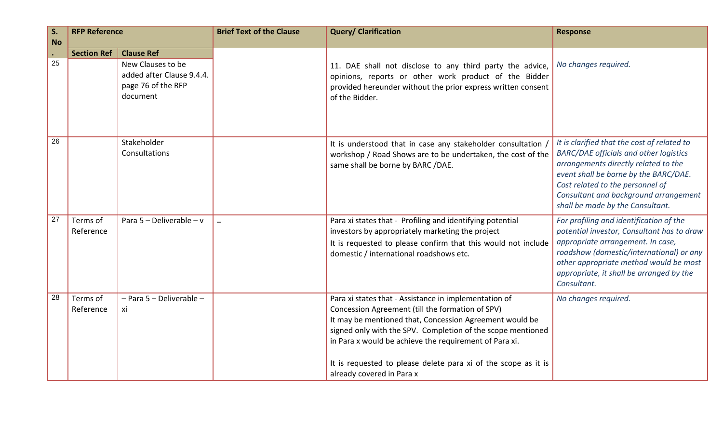| S.<br><b>No</b> | <b>RFP Reference</b>  |                                                                                                       | <b>Brief Text of the Clause</b> | <b>Query/ Clarification</b>                                                                                                                                                                                                                                                                                                                                                                  | <b>Response</b>                                                                                                                                                                                                                                                                                |
|-----------------|-----------------------|-------------------------------------------------------------------------------------------------------|---------------------------------|----------------------------------------------------------------------------------------------------------------------------------------------------------------------------------------------------------------------------------------------------------------------------------------------------------------------------------------------------------------------------------------------|------------------------------------------------------------------------------------------------------------------------------------------------------------------------------------------------------------------------------------------------------------------------------------------------|
| $\bullet$<br>25 | <b>Section Ref</b>    | <b>Clause Ref</b><br>New Clauses to be<br>added after Clause 9.4.4.<br>page 76 of the RFP<br>document |                                 | 11. DAE shall not disclose to any third party the advice,<br>opinions, reports or other work product of the Bidder<br>provided hereunder without the prior express written consent<br>of the Bidder.                                                                                                                                                                                         | No changes required.                                                                                                                                                                                                                                                                           |
| 26              |                       | Stakeholder<br>Consultations                                                                          |                                 | It is understood that in case any stakeholder consultation /<br>workshop / Road Shows are to be undertaken, the cost of the<br>same shall be borne by BARC /DAE.                                                                                                                                                                                                                             | It is clarified that the cost of related to<br><b>BARC/DAE officials and other logistics</b><br>arrangements directly related to the<br>event shall be borne by the BARC/DAE.<br>Cost related to the personnel of<br>Consultant and background arrangement<br>shall be made by the Consultant. |
| 27              | Terms of<br>Reference | Para $5 -$ Deliverable $-$ v                                                                          |                                 | Para xi states that - Profiling and identifying potential<br>investors by appropriately marketing the project<br>It is requested to please confirm that this would not include<br>domestic / international roadshows etc.                                                                                                                                                                    | For profiling and identification of the<br>potential investor, Consultant has to draw<br>appropriate arrangement. In case,<br>roadshow (domestic/international) or any<br>other appropriate method would be most<br>appropriate, it shall be arranged by the<br>Consultant.                    |
| 28              | Terms of<br>Reference | - Para 5 - Deliverable -<br>xi                                                                        |                                 | Para xi states that - Assistance in implementation of<br>Concession Agreement (till the formation of SPV)<br>It may be mentioned that, Concession Agreement would be<br>signed only with the SPV. Completion of the scope mentioned<br>in Para x would be achieve the requirement of Para xi.<br>It is requested to please delete para xi of the scope as it is<br>already covered in Para x | No changes required.                                                                                                                                                                                                                                                                           |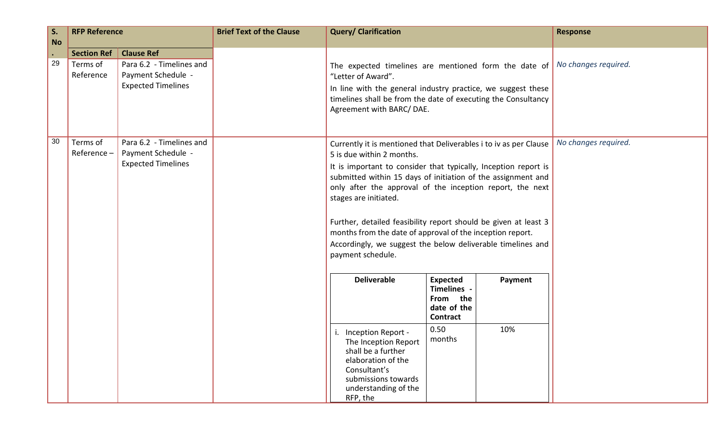| S.<br><b>No</b> | <b>RFP Reference</b>                        |                                                                                                  | <b>Brief Text of the Clause</b> | <b>Query/ Clarification</b>                                                                                                                                                                                                                                                                                                                                                                                                                                                                                                                 |                                                                                         |                | <b>Response</b>      |
|-----------------|---------------------------------------------|--------------------------------------------------------------------------------------------------|---------------------------------|---------------------------------------------------------------------------------------------------------------------------------------------------------------------------------------------------------------------------------------------------------------------------------------------------------------------------------------------------------------------------------------------------------------------------------------------------------------------------------------------------------------------------------------------|-----------------------------------------------------------------------------------------|----------------|----------------------|
| $\bullet$<br>29 | <b>Section Ref</b><br>Terms of<br>Reference | <b>Clause Ref</b><br>Para 6.2 - Timelines and<br>Payment Schedule -<br><b>Expected Timelines</b> |                                 | The expected timelines are mentioned form the date of<br>"Letter of Award".<br>In line with the general industry practice, we suggest these<br>timelines shall be from the date of executing the Consultancy<br>Agreement with BARC/DAE.                                                                                                                                                                                                                                                                                                    |                                                                                         |                | No changes required. |
| 30              | Terms of<br>Reference-                      | Para 6.2 - Timelines and<br>Payment Schedule -<br><b>Expected Timelines</b>                      |                                 | Currently it is mentioned that Deliverables i to iv as per Clause<br>5 is due within 2 months.<br>It is important to consider that typically, Inception report is<br>submitted within 15 days of initiation of the assignment and<br>only after the approval of the inception report, the next<br>stages are initiated.<br>Further, detailed feasibility report should be given at least 3<br>months from the date of approval of the inception report.<br>Accordingly, we suggest the below deliverable timelines and<br>payment schedule. |                                                                                         |                | No changes required. |
|                 |                                             |                                                                                                  |                                 | <b>Deliverable</b><br>i. Inception Report -<br>The Inception Report<br>shall be a further<br>elaboration of the                                                                                                                                                                                                                                                                                                                                                                                                                             | <b>Expected</b><br>Timelines -<br>From the<br>date of the<br>Contract<br>0.50<br>months | Payment<br>10% |                      |
|                 |                                             |                                                                                                  |                                 | Consultant's<br>submissions towards<br>understanding of the<br>RFP, the                                                                                                                                                                                                                                                                                                                                                                                                                                                                     |                                                                                         |                |                      |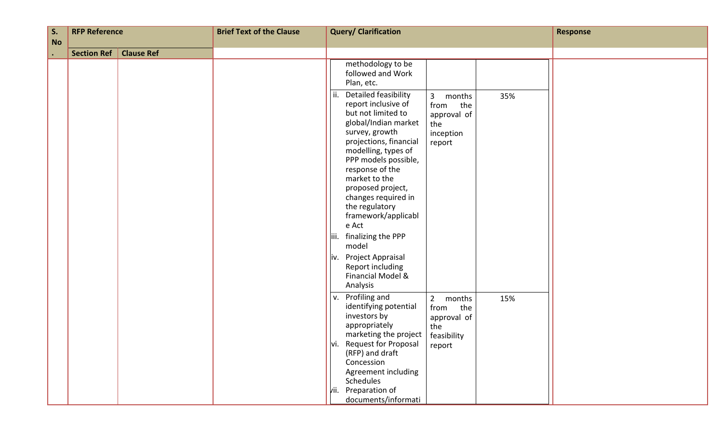| S.        | <b>RFP Reference</b> |                   | <b>Brief Text of the Clause</b> | <b>Query/ Clarification</b>                                                                                                                                                                                                                                                                                                                                                  |  | <b>Response</b>                                                                    |     |  |
|-----------|----------------------|-------------------|---------------------------------|------------------------------------------------------------------------------------------------------------------------------------------------------------------------------------------------------------------------------------------------------------------------------------------------------------------------------------------------------------------------------|--|------------------------------------------------------------------------------------|-----|--|
| <b>No</b> | <b>Section Ref</b>   | <b>Clause Ref</b> |                                 |                                                                                                                                                                                                                                                                                                                                                                              |  |                                                                                    |     |  |
|           |                      |                   |                                 | methodology to be<br>followed and Work<br>Plan, etc.<br>Detailed feasibility<br>ii.<br>report inclusive of<br>but not limited to<br>global/Indian market<br>survey, growth<br>projections, financial<br>modelling, types of<br>PPP models possible,<br>response of the<br>market to the<br>proposed project,<br>changes required in<br>the regulatory<br>framework/applicabl |  | $\mathbf{3}$<br>months<br>from<br>the<br>approval of<br>the<br>inception<br>report | 35% |  |
|           |                      |                   |                                 | e Act<br>finalizing the PPP<br>liii.<br>model                                                                                                                                                                                                                                                                                                                                |  |                                                                                    |     |  |
|           |                      |                   |                                 | Project Appraisal<br>i۷.<br>Report including<br>Financial Model &<br>Analysis                                                                                                                                                                                                                                                                                                |  |                                                                                    |     |  |
|           |                      |                   |                                 | Profiling and<br>v.<br>identifying potential<br>investors by<br>appropriately<br>marketing the project   feasibility<br><b>Request for Proposal</b><br>IVİ.<br>(RFP) and draft<br>Concession<br>Agreement including<br>Schedules<br>Preparation of<br>vii.<br>documents/informati                                                                                            |  | $\overline{2}$<br>months<br>from<br>the<br>approval of<br>the<br>report            | 15% |  |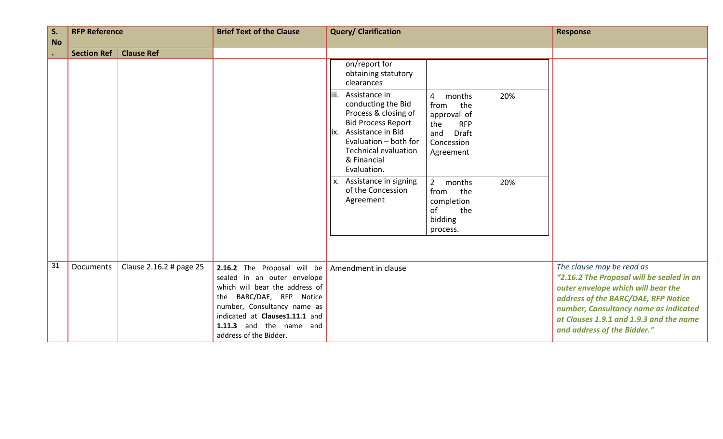| S.<br><b>No</b> | <b>RFP Reference</b> |                         | <b>Brief Text of the Clause</b>                                                                                                                                                                                                                   | <b>Query/ Clarification</b>                                                                                                                                                                                                                                                                                                                           | <b>Response</b>                                                                                                                                                                                                                                                        |
|-----------------|----------------------|-------------------------|---------------------------------------------------------------------------------------------------------------------------------------------------------------------------------------------------------------------------------------------------|-------------------------------------------------------------------------------------------------------------------------------------------------------------------------------------------------------------------------------------------------------------------------------------------------------------------------------------------------------|------------------------------------------------------------------------------------------------------------------------------------------------------------------------------------------------------------------------------------------------------------------------|
| $\bullet$       | <b>Section Ref</b>   | <b>Clause Ref</b>       |                                                                                                                                                                                                                                                   |                                                                                                                                                                                                                                                                                                                                                       |                                                                                                                                                                                                                                                                        |
|                 |                      |                         |                                                                                                                                                                                                                                                   | on/report for<br>obtaining statutory<br>clearances                                                                                                                                                                                                                                                                                                    |                                                                                                                                                                                                                                                                        |
|                 |                      |                         |                                                                                                                                                                                                                                                   | Assistance in<br>liii.<br>$\overline{4}$<br>20%<br>months<br>conducting the Bid<br>the<br>from<br>Process & closing of<br>approval of<br><b>Bid Process Report</b><br>the<br><b>RFP</b><br>Assistance in Bid<br>lix.<br>and<br>Draft<br>Evaluation - both for<br>Concession<br><b>Technical evaluation</b><br>Agreement<br>& Financial<br>Evaluation. |                                                                                                                                                                                                                                                                        |
|                 |                      |                         |                                                                                                                                                                                                                                                   | Assistance in signing<br>$2^{\circ}$<br>months<br>20%<br>Х.<br>of the Concession<br>from<br>the<br>Agreement<br>completion<br>of<br>the<br>bidding<br>process.                                                                                                                                                                                        |                                                                                                                                                                                                                                                                        |
| 31              | <b>Documents</b>     | Clause 2.16.2 # page 25 | 2.16.2 The Proposal will be<br>sealed in an outer envelope<br>which will bear the address of<br>BARC/DAE, RFP Notice<br>the<br>number, Consultancy name as<br>indicated at Clauses1.11.1 and<br>1.11.3 and the name and<br>address of the Bidder. | Amendment in clause                                                                                                                                                                                                                                                                                                                                   | The clause may be read as<br>"2.16.2 The Proposal will be sealed in an<br>outer envelope which will bear the<br>address of the BARC/DAE, RFP Notice<br>number, Consultancy name as indicated<br>at Clauses 1.9.1 and 1.9.3 and the name<br>and address of the Bidder." |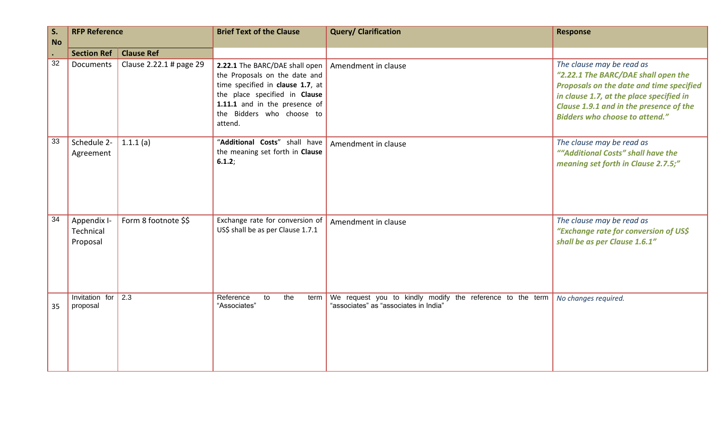| S.<br><b>No</b> | <b>RFP Reference</b>                 |                         | <b>Brief Text of the Clause</b>                                                                                                                                                                               | <b>Query/ Clarification</b>                                                                        | <b>Response</b>                                                                                                                                                                                                                              |
|-----------------|--------------------------------------|-------------------------|---------------------------------------------------------------------------------------------------------------------------------------------------------------------------------------------------------------|----------------------------------------------------------------------------------------------------|----------------------------------------------------------------------------------------------------------------------------------------------------------------------------------------------------------------------------------------------|
|                 | <b>Section Ref</b>                   | <b>Clause Ref</b>       |                                                                                                                                                                                                               |                                                                                                    |                                                                                                                                                                                                                                              |
| 32              | Documents                            | Clause 2.22.1 # page 29 | 2.22.1 The BARC/DAE shall open<br>the Proposals on the date and<br>time specified in clause 1.7, at<br>the place specified in Clause<br>1.11.1 and in the presence of<br>the Bidders who choose to<br>attend. | Amendment in clause                                                                                | The clause may be read as<br>"2.22.1 The BARC/DAE shall open the<br>Proposals on the date and time specified<br>in clause 1.7, at the place specified in<br>Clause 1.9.1 and in the presence of the<br><b>Bidders who choose to attend."</b> |
| 33              | Schedule 2-<br>Agreement             | 1.1.1(a)                | "Additional Costs" shall have<br>the meaning set forth in Clause<br>6.1.2;                                                                                                                                    | Amendment in clause                                                                                | The clause may be read as<br>""Additional Costs" shall have the<br>meaning set forth in Clause 2.7.5;"                                                                                                                                       |
| 34              | Appendix I-<br>Technical<br>Proposal | Form 8 footnote \$\$    | Exchange rate for conversion of<br>US\$ shall be as per Clause 1.7.1                                                                                                                                          | Amendment in clause                                                                                | The clause may be read as<br>"Exchange rate for conversion of US\$<br>shall be as per Clause 1.6.1"                                                                                                                                          |
| 35              | Invitation for<br>proposal           | $\sqrt{2.3}$            | Reference<br>the<br>to<br>term<br>"Associates"                                                                                                                                                                | We request you to kindly modify the reference to the term<br>"associates" as "associates in India" | No changes required.                                                                                                                                                                                                                         |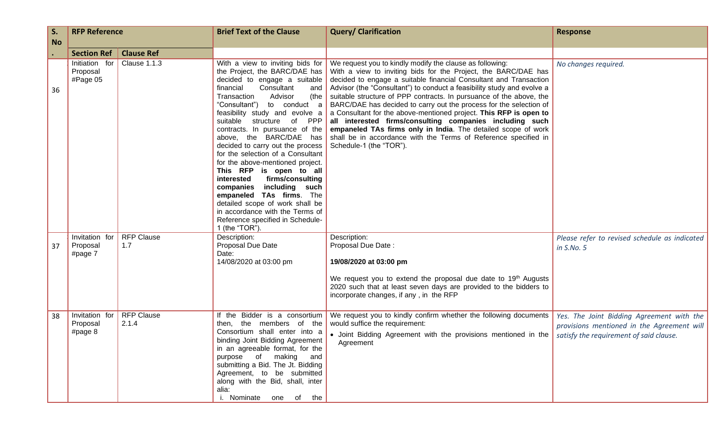| S.        | <b>RFP Reference</b>                   |                            | <b>Brief Text of the Clause</b>                                                                                                                                                                                                                                                                                                                                                                                                                                                                                                                                                                                                                                                                       | <b>Query/ Clarification</b>                                                                                                                                                                                                                                                                                                                                                                                                                                                                                                                                                                                                                                                                                            | <b>Response</b>                                                                                                                    |
|-----------|----------------------------------------|----------------------------|-------------------------------------------------------------------------------------------------------------------------------------------------------------------------------------------------------------------------------------------------------------------------------------------------------------------------------------------------------------------------------------------------------------------------------------------------------------------------------------------------------------------------------------------------------------------------------------------------------------------------------------------------------------------------------------------------------|------------------------------------------------------------------------------------------------------------------------------------------------------------------------------------------------------------------------------------------------------------------------------------------------------------------------------------------------------------------------------------------------------------------------------------------------------------------------------------------------------------------------------------------------------------------------------------------------------------------------------------------------------------------------------------------------------------------------|------------------------------------------------------------------------------------------------------------------------------------|
| <b>No</b> |                                        |                            |                                                                                                                                                                                                                                                                                                                                                                                                                                                                                                                                                                                                                                                                                                       |                                                                                                                                                                                                                                                                                                                                                                                                                                                                                                                                                                                                                                                                                                                        |                                                                                                                                    |
|           | <b>Section Ref</b>                     | <b>Clause Ref</b>          |                                                                                                                                                                                                                                                                                                                                                                                                                                                                                                                                                                                                                                                                                                       |                                                                                                                                                                                                                                                                                                                                                                                                                                                                                                                                                                                                                                                                                                                        |                                                                                                                                    |
| 36        | Initiation for<br>Proposal<br>#Page 05 | <b>Clause 1.1.3</b>        | With a view to inviting bids for<br>the Project, the BARC/DAE has<br>decided to engage a suitable<br>Consultant<br>financial<br>and<br>Transaction<br>Advisor<br>(the<br>"Consultant")<br>to conduct a<br>feasibility study and evolve a<br>structure of PPP<br>suitable<br>contracts. In pursuance of the<br>above, the BARC/DAE has<br>decided to carry out the process<br>for the selection of a Consultant<br>for the above-mentioned project.<br>This RFP is open to all<br>firms/consulting<br>interested<br>including such<br>companies<br>empaneled TAs firms. The<br>detailed scope of work shall be<br>in accordance with the Terms of<br>Reference specified in Schedule-<br>1 (the "TOR") | We request you to kindly modify the clause as following:<br>With a view to inviting bids for the Project, the BARC/DAE has<br>decided to engage a suitable financial Consultant and Transaction<br>Advisor (the "Consultant") to conduct a feasibility study and evolve a<br>suitable structure of PPP contracts. In pursuance of the above, the<br>BARC/DAE has decided to carry out the process for the selection of<br>a Consultant for the above-mentioned project. This RFP is open to<br>all interested firms/consulting companies including such<br>empaneled TAs firms only in India. The detailed scope of work<br>shall be in accordance with the Terms of Reference specified in<br>Schedule-1 (the "TOR"). | No changes required.                                                                                                               |
| 37        | Invitation for<br>Proposal<br>#page 7  | <b>RFP Clause</b><br>1.7   | Description:<br>Proposal Due Date<br>Date:<br>14/08/2020 at 03:00 pm                                                                                                                                                                                                                                                                                                                                                                                                                                                                                                                                                                                                                                  | Description:<br>Proposal Due Date:<br>19/08/2020 at 03:00 pm<br>We request you to extend the proposal due date to 19th Augusts<br>2020 such that at least seven days are provided to the bidders to<br>incorporate changes, if any, in the RFP                                                                                                                                                                                                                                                                                                                                                                                                                                                                         | Please refer to revised schedule as indicated<br>in S.No. 5                                                                        |
| 38        | Invitation for<br>Proposal<br>#page 8  | <b>RFP Clause</b><br>2.1.4 | If the Bidder is a consortium<br>then, the members of the<br>Consortium shall enter into a<br>binding Joint Bidding Agreement<br>in an agreeable format, for the<br>purpose of making and<br>submitting a Bid. The Jt. Bidding<br>Agreement, to be submitted<br>along with the Bid, shall, inter<br>alia:<br>i. Nominate one of the                                                                                                                                                                                                                                                                                                                                                                   | We request you to kindly confirm whether the following documents<br>would suffice the requirement:<br>• Joint Bidding Agreement with the provisions mentioned in the<br>Agreement                                                                                                                                                                                                                                                                                                                                                                                                                                                                                                                                      | Yes. The Joint Bidding Agreement with the<br>provisions mentioned in the Agreement will<br>satisfy the requirement of said clause. |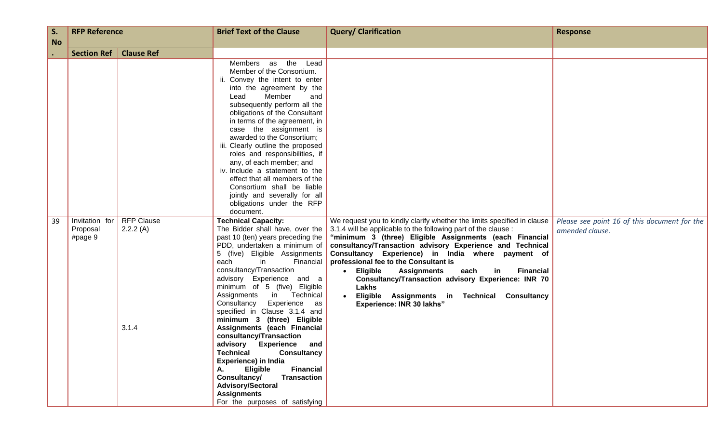| S.        | <b>RFP Reference</b>                  |                                        | <b>Brief Text of the Clause</b>                                                                                                                                                                                                                                                                                                                                                                                                                                                                                                                                                                                                                                                                                                                                       | <b>Query/ Clarification</b>                                                                                                                                                                                                                                                                                                                                                                                                                                                                                                                                                       | <b>Response</b>                                                 |
|-----------|---------------------------------------|----------------------------------------|-----------------------------------------------------------------------------------------------------------------------------------------------------------------------------------------------------------------------------------------------------------------------------------------------------------------------------------------------------------------------------------------------------------------------------------------------------------------------------------------------------------------------------------------------------------------------------------------------------------------------------------------------------------------------------------------------------------------------------------------------------------------------|-----------------------------------------------------------------------------------------------------------------------------------------------------------------------------------------------------------------------------------------------------------------------------------------------------------------------------------------------------------------------------------------------------------------------------------------------------------------------------------------------------------------------------------------------------------------------------------|-----------------------------------------------------------------|
| <b>No</b> |                                       |                                        |                                                                                                                                                                                                                                                                                                                                                                                                                                                                                                                                                                                                                                                                                                                                                                       |                                                                                                                                                                                                                                                                                                                                                                                                                                                                                                                                                                                   |                                                                 |
|           | <b>Section Ref</b>                    | <b>Clause Ref</b>                      |                                                                                                                                                                                                                                                                                                                                                                                                                                                                                                                                                                                                                                                                                                                                                                       |                                                                                                                                                                                                                                                                                                                                                                                                                                                                                                                                                                                   |                                                                 |
|           |                                       |                                        | Members as<br>the<br>Lead<br>Member of the Consortium.<br>ii. Convey the intent to enter<br>into the agreement by the<br>Member<br>and<br>Lead<br>subsequently perform all the<br>obligations of the Consultant<br>in terms of the agreement, in<br>case the assignment is<br>awarded to the Consortium;<br>iii. Clearly outline the proposed<br>roles and responsibilities, if<br>any, of each member; and<br>iv. Include a statement to the<br>effect that all members of the<br>Consortium shall be liable<br>jointly and severally for all<br>obligations under the RFP                                                                                                                                                                                           |                                                                                                                                                                                                                                                                                                                                                                                                                                                                                                                                                                                   |                                                                 |
| 39        | Invitation for<br>Proposal<br>#page 9 | <b>RFP Clause</b><br>2.2.2(A)<br>3.1.4 | document.<br><b>Technical Capacity:</b><br>The Bidder shall have, over the<br>past 10 (ten) years preceding the<br>PDD, undertaken a minimum of<br>5 (five) Eligible Assignments<br>Financial<br>each<br>in.<br>consultancy/Transaction<br>advisory Experience and a<br>minimum of 5 (five) Eligible<br>in<br>Technical<br>Assignments<br>Consultancy<br>Experience<br>as<br>specified in Clause 3.1.4 and<br>minimum 3 (three) Eligible<br>Assignments (each Financial<br>consultancy/Transaction<br>advisory<br><b>Experience</b><br>and<br><b>Technical</b><br><b>Consultancy</b><br>Experience) in India<br>Eligible<br><b>Financial</b><br>A.<br>Consultancy/<br><b>Transaction</b><br>Advisory/Sectoral<br><b>Assignments</b><br>For the purposes of satisfying | We request you to kindly clarify whether the limits specified in clause<br>3.1.4 will be applicable to the following part of the clause :<br>"minimum 3 (three) Eligible Assignments (each Financial<br>consultancy/Transaction advisory Experience and Technical<br>Consultancy Experience) in India where payment of<br>professional fee to the Consultant is<br>Eligible<br><b>Assignments</b><br><b>Financial</b><br>each<br>in<br>Consultancy/Transaction advisory Experience: INR 70<br>Lakhs<br>Eligible Assignments in Technical Consultancy<br>Experience: INR 30 lakhs" | Please see point 16 of this document for the<br>amended clause. |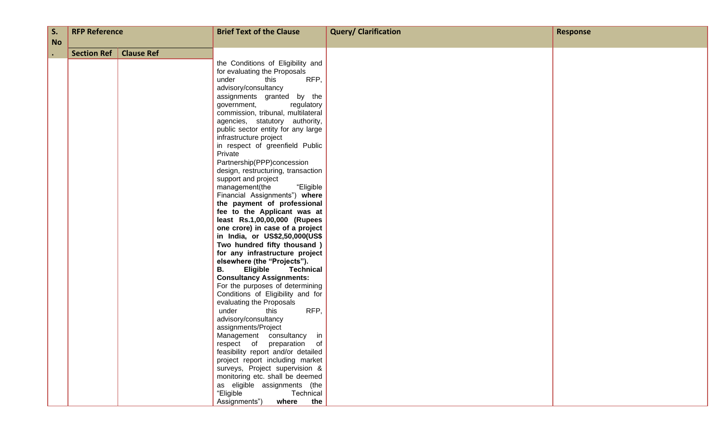| S.                     | <b>RFP Reference</b> |                   | <b>Brief Text of the Clause</b>                                                                                                                                                                                                                                                                                                                                                                                                                                                                                                                                                                                                                                                                                                                                                                                                                                                                                                                                                                                                                                                                   | <b>Query/ Clarification</b> | <b>Response</b> |
|------------------------|----------------------|-------------------|---------------------------------------------------------------------------------------------------------------------------------------------------------------------------------------------------------------------------------------------------------------------------------------------------------------------------------------------------------------------------------------------------------------------------------------------------------------------------------------------------------------------------------------------------------------------------------------------------------------------------------------------------------------------------------------------------------------------------------------------------------------------------------------------------------------------------------------------------------------------------------------------------------------------------------------------------------------------------------------------------------------------------------------------------------------------------------------------------|-----------------------------|-----------------|
|                        |                      |                   |                                                                                                                                                                                                                                                                                                                                                                                                                                                                                                                                                                                                                                                                                                                                                                                                                                                                                                                                                                                                                                                                                                   |                             |                 |
| <b>No</b><br>$\bullet$ | <b>Section Ref</b>   | <b>Clause Ref</b> | the Conditions of Eligibility and<br>for evaluating the Proposals<br>RFP,<br>under<br>this<br>advisory/consultancy<br>assignments granted by the<br>regulatory<br>government,<br>commission, tribunal, multilateral<br>agencies, statutory authority,<br>public sector entity for any large<br>infrastructure project<br>in respect of greenfield Public<br>Private<br>Partnership(PPP)concession<br>design, restructuring, transaction<br>support and project<br>"Eligible<br>management(the<br>Financial Assignments") where<br>the payment of professional<br>fee to the Applicant was at<br>least Rs.1,00,00,000 (Rupees<br>one crore) in case of a project<br>in India, or US\$2,50,000(US\$<br>Two hundred fifty thousand)<br>for any infrastructure project<br>elsewhere (the "Projects").<br><b>B.</b><br><b>Technical</b><br><b>Eligible</b><br><b>Consultancy Assignments:</b><br>For the purposes of determining<br>Conditions of Eligibility and for<br>evaluating the Proposals<br>RFP,<br>under<br>this<br>advisory/consultancy<br>assignments/Project<br>Management consultancy in |                             |                 |
|                        |                      |                   | respect of preparation of<br>feasibility report and/or detailed<br>project report including market<br>surveys, Project supervision &<br>monitoring etc. shall be deemed<br>as eligible assignments (the<br>"Eligible"<br>Technical<br>Assignments")<br>the<br>where                                                                                                                                                                                                                                                                                                                                                                                                                                                                                                                                                                                                                                                                                                                                                                                                                               |                             |                 |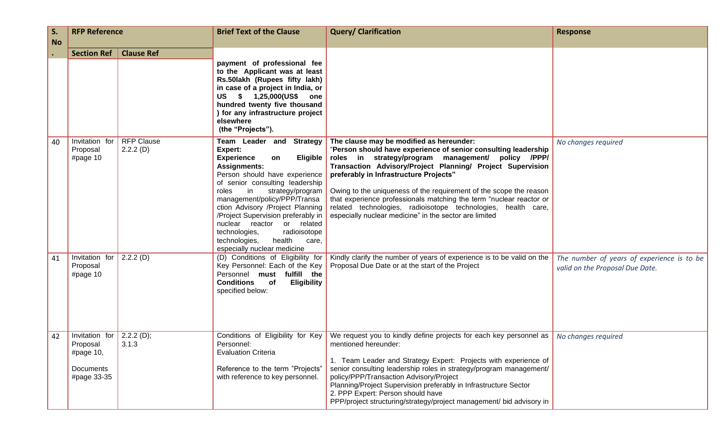| S.<br><b>No</b> | <b>RFP Reference</b>                                                |                               | <b>Brief Text of the Clause</b>                                                                                                                                                                                                                                                                                                                                                                                                                        | <b>Query/ Clarification</b>                                                                                                                                                                                                                                                                                                                                                                                                                                                                                                                      | <b>Response</b>                                                               |
|-----------------|---------------------------------------------------------------------|-------------------------------|--------------------------------------------------------------------------------------------------------------------------------------------------------------------------------------------------------------------------------------------------------------------------------------------------------------------------------------------------------------------------------------------------------------------------------------------------------|--------------------------------------------------------------------------------------------------------------------------------------------------------------------------------------------------------------------------------------------------------------------------------------------------------------------------------------------------------------------------------------------------------------------------------------------------------------------------------------------------------------------------------------------------|-------------------------------------------------------------------------------|
|                 | <b>Section Ref</b>                                                  | <b>Clause Ref</b>             | payment of professional fee<br>to the Applicant was at least<br>Rs.50lakh (Rupees fifty lakh)<br>in case of a project in India, or<br>US \$ 1,25,000(US\$ one<br>hundred twenty five thousand<br>) for any infrastructure project<br>elsewhere<br>(the "Projects").                                                                                                                                                                                    |                                                                                                                                                                                                                                                                                                                                                                                                                                                                                                                                                  |                                                                               |
| 40              | Invitation for<br>Proposal<br>#page $10$                            | <b>RFP Clause</b><br>2.2.2(D) | Team Leader and Strategy<br>Expert:<br><b>Experience</b><br>Eligible  <br>on<br><b>Assignments:</b><br>Person should have experience<br>of senior consulting leadership<br>strategy/program<br>in<br>roles<br>management/policy/PPP/Transa<br>ction Advisory /Project Planning<br>/Project Supervision preferably in<br>nuclear reactor or related<br>technologies,<br>radioisotope<br>health<br>technologies,<br>care,<br>especially nuclear medicine | The clause may be modified as hereunder:<br>"Person should have experience of senior consulting leadership<br>roles in strategy/program management/ policy /PPP/<br>Transaction Advisory/Project Planning/ Project Supervision<br>preferably in Infrastructure Projects"<br>Owing to the uniqueness of the requirement of the scope the reason<br>that experience professionals matching the term "nuclear reactor or<br>related technologies, radioisotope technologies, health care,<br>especially nuclear medicine" in the sector are limited | No changes required                                                           |
| 41              | Invitation for<br>Proposal<br>#page $10$                            | 2.2.2(D)                      | (D) Conditions of Eligibility for<br>Key Personnel: Each of the Key<br>Personnel must fulfill the<br><b>Conditions</b><br>of<br><b>Eligibility</b><br>specified below:                                                                                                                                                                                                                                                                                 | Kindly clarify the number of years of experience is to be valid on the<br>Proposal Due Date or at the start of the Project                                                                                                                                                                                                                                                                                                                                                                                                                       | The number of years of experience is to be<br>valid on the Proposal Due Date. |
| 42              | Invitation for<br>Proposal<br>#page 10,<br>Documents<br>#page 33-35 | 2.2.2(D);<br>3.1.3            | Conditions of Eligibility for Key<br>Personnel:<br><b>Evaluation Criteria</b><br>Reference to the term "Projects"<br>with reference to key personnel.                                                                                                                                                                                                                                                                                                  | We request you to kindly define projects for each key personnel as<br>mentioned hereunder:<br>1. Team Leader and Strategy Expert: Projects with experience of<br>senior consulting leadership roles in strategy/program management/<br>policy/PPP/Transaction Advisory/Project<br>Planning/Project Supervision preferably in Infrastructure Sector<br>2. PPP Expert: Person should have<br>PPP/project structuring/strategy/project management/ bid advisory in                                                                                  | No changes required                                                           |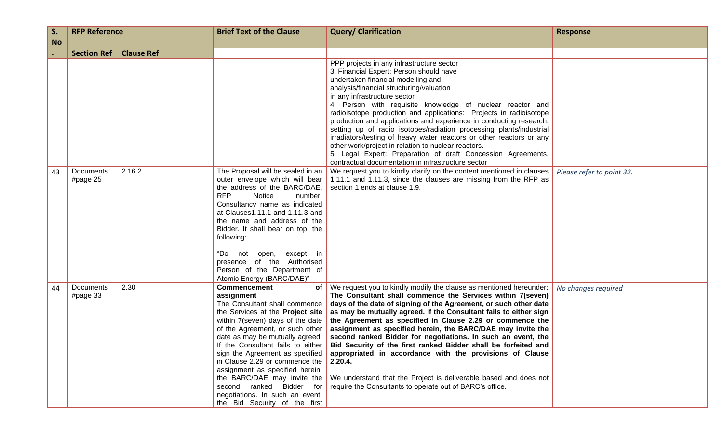| S.        | <b>RFP Reference</b>  |                   | <b>Brief Text of the Clause</b>                                                                                                                                                                                                                                                                                                                                                                                                                                           | <b>Query/ Clarification</b>                                                                                                                                                                                                                                                                                                                                                                                                                                                                                                                                                                                                                                                                                                                                                | <b>Response</b>           |
|-----------|-----------------------|-------------------|---------------------------------------------------------------------------------------------------------------------------------------------------------------------------------------------------------------------------------------------------------------------------------------------------------------------------------------------------------------------------------------------------------------------------------------------------------------------------|----------------------------------------------------------------------------------------------------------------------------------------------------------------------------------------------------------------------------------------------------------------------------------------------------------------------------------------------------------------------------------------------------------------------------------------------------------------------------------------------------------------------------------------------------------------------------------------------------------------------------------------------------------------------------------------------------------------------------------------------------------------------------|---------------------------|
| <b>No</b> | <b>Section Ref</b>    | <b>Clause Ref</b> |                                                                                                                                                                                                                                                                                                                                                                                                                                                                           |                                                                                                                                                                                                                                                                                                                                                                                                                                                                                                                                                                                                                                                                                                                                                                            |                           |
|           |                       |                   |                                                                                                                                                                                                                                                                                                                                                                                                                                                                           | PPP projects in any infrastructure sector<br>3. Financial Expert: Person should have<br>undertaken financial modelling and<br>analysis/financial structuring/valuation<br>in any infrastructure sector<br>4. Person with requisite knowledge of nuclear reactor and<br>radioisotope production and applications: Projects in radioisotope<br>production and applications and experience in conducting research,<br>setting up of radio isotopes/radiation processing plants/industrial<br>irradiators/testing of heavy water reactors or other reactors or any<br>other work/project in relation to nuclear reactors.<br>5. Legal Expert: Preparation of draft Concession Agreements,<br>contractual documentation in infrastructure sector                                |                           |
| 43        | Documents<br>#page 25 | 2.16.2            | The Proposal will be sealed in an<br>outer envelope which will bear<br>the address of the BARC/DAE,<br><b>RFP</b><br>Notice<br>number,<br>Consultancy name as indicated<br>at Clauses1.11.1 and 1.11.3 and<br>the name and address of the<br>Bidder. It shall bear on top, the<br>following:<br>open, except in<br>"Do not<br>presence of the Authorised<br>Person of the Department of<br>Atomic Energy (BARC/DAE)"                                                      | We request you to kindly clarify on the content mentioned in clauses<br>1.11.1 and 1.11.3, since the clauses are missing from the RFP as<br>section 1 ends at clause 1.9.                                                                                                                                                                                                                                                                                                                                                                                                                                                                                                                                                                                                  | Please refer to point 32. |
| 44        | Documents<br>#page 33 | 2.30              | <b>Commencement</b><br>assignment<br>The Consultant shall commence<br>the Services at the Project site<br>within 7(seven) days of the date<br>of the Agreement, or such other<br>date as may be mutually agreed.<br>If the Consultant fails to either<br>in Clause 2.29 or commence the $\vert$ 2.20.4.<br>assignment as specified herein,<br>the BARC/DAE may invite the<br>second ranked Bidder for<br>negotiations. In such an event,<br>the Bid Security of the first | of   We request you to kindly modify the clause as mentioned hereunder:<br>The Consultant shall commence the Services within 7(seven)<br>days of the date of signing of the Agreement, or such other date<br>as may be mutually agreed. If the Consultant fails to either sign<br>the Agreement as specified in Clause 2.29 or commence the<br>assignment as specified herein, the BARC/DAE may invite the<br>second ranked Bidder for negotiations. In such an event, the<br>Bid Security of the first ranked Bidder shall be forfeited and<br>sign the Agreement as specified   appropriated in accordance with the provisions of Clause<br>We understand that the Project is deliverable based and does not<br>require the Consultants to operate out of BARC's office. | No changes required       |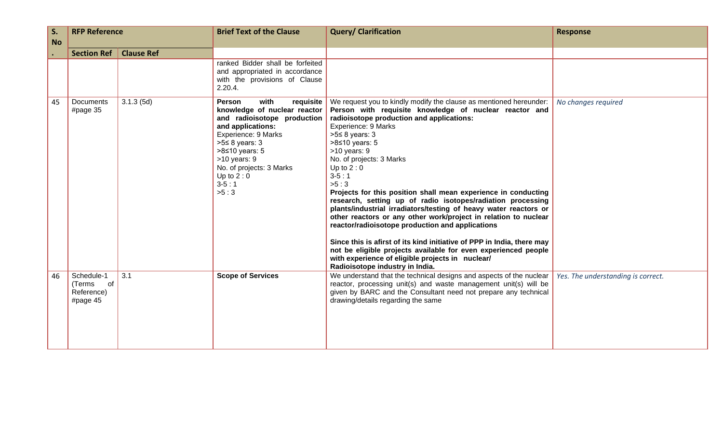| S.        | <b>RFP Reference</b>                              |           | <b>Brief Text of the Clause</b>                                                                                                                                                                                                                     | <b>Query/ Clarification</b>                                                                                                                                                                                                                                                                                                                                                                                                                                                                                                                                                                                                                                                                                                                                                                                                                                                                                   | <b>Response</b>                    |
|-----------|---------------------------------------------------|-----------|-----------------------------------------------------------------------------------------------------------------------------------------------------------------------------------------------------------------------------------------------------|---------------------------------------------------------------------------------------------------------------------------------------------------------------------------------------------------------------------------------------------------------------------------------------------------------------------------------------------------------------------------------------------------------------------------------------------------------------------------------------------------------------------------------------------------------------------------------------------------------------------------------------------------------------------------------------------------------------------------------------------------------------------------------------------------------------------------------------------------------------------------------------------------------------|------------------------------------|
| <b>No</b> | <b>Clause Ref</b><br><b>Section Ref</b>           |           |                                                                                                                                                                                                                                                     |                                                                                                                                                                                                                                                                                                                                                                                                                                                                                                                                                                                                                                                                                                                                                                                                                                                                                                               |                                    |
|           |                                                   |           | ranked Bidder shall be forfeited<br>and appropriated in accordance<br>with the provisions of Clause<br>2.20.4.                                                                                                                                      |                                                                                                                                                                                                                                                                                                                                                                                                                                                                                                                                                                                                                                                                                                                                                                                                                                                                                                               |                                    |
| 45        | Documents<br>#page 35                             | 3.1.3(5d) | with<br>Person<br>knowledge of nuclear reactor<br>and radioisotope production<br>and applications:<br>Experience: 9 Marks<br>$>5 \leq 8$ years: 3<br>>8≤10 years: 5<br>$>10$ years: 9<br>No. of projects: 3 Marks<br>Up to $2:0$<br>$3-5:1$<br>>5:3 | <b>requisite</b> We request you to kindly modify the clause as mentioned hereunder:<br>Person with requisite knowledge of nuclear reactor and<br>radioisotope production and applications:<br>Experience: 9 Marks<br>$>5 \leq 8$ years: 3<br>$>8$ ≤10 years: 5<br>$>10$ years: 9<br>No. of projects: 3 Marks<br>Up to $2:0$<br>$3-5:1$<br>>5:3<br>Projects for this position shall mean experience in conducting<br>research, setting up of radio isotopes/radiation processing<br>plants/industrial irradiators/testing of heavy water reactors or<br>other reactors or any other work/project in relation to nuclear<br>reactor/radioisotope production and applications<br>Since this is afirst of its kind initiative of PPP in India, there may<br>not be eligible projects available for even experienced people<br>with experience of eligible projects in nuclear/<br>Radioisotope industry in India. | No changes required                |
| 46        | Schedule-1<br>(Terms of<br>Reference)<br>#page 45 | 3.1       | <b>Scope of Services</b>                                                                                                                                                                                                                            | We understand that the technical designs and aspects of the nuclear<br>reactor, processing unit(s) and waste management unit(s) will be<br>given by BARC and the Consultant need not prepare any technical<br>drawing/details regarding the same                                                                                                                                                                                                                                                                                                                                                                                                                                                                                                                                                                                                                                                              | Yes. The understanding is correct. |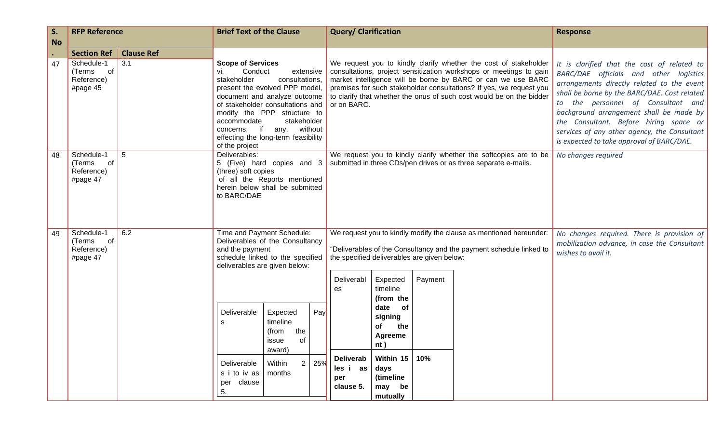| S.<br><b>No</b> | <b>RFP Reference</b>                                 | <b>Brief Text of the Clause</b> |                                                                                                         | <b>Query/ Clarification</b>                                                                                                                                                                                                               |     |                                                                                                                                                                                                                                                                                                                                                                      |                                                                                           | <b>Response</b>                                                                                                   |                                                                                                                                                                                                                                                                                                                                                                                                             |                     |
|-----------------|------------------------------------------------------|---------------------------------|---------------------------------------------------------------------------------------------------------|-------------------------------------------------------------------------------------------------------------------------------------------------------------------------------------------------------------------------------------------|-----|----------------------------------------------------------------------------------------------------------------------------------------------------------------------------------------------------------------------------------------------------------------------------------------------------------------------------------------------------------------------|-------------------------------------------------------------------------------------------|-------------------------------------------------------------------------------------------------------------------|-------------------------------------------------------------------------------------------------------------------------------------------------------------------------------------------------------------------------------------------------------------------------------------------------------------------------------------------------------------------------------------------------------------|---------------------|
|                 | <b>Section Ref</b>                                   | <b>Clause Ref</b>               |                                                                                                         |                                                                                                                                                                                                                                           |     |                                                                                                                                                                                                                                                                                                                                                                      |                                                                                           |                                                                                                                   |                                                                                                                                                                                                                                                                                                                                                                                                             |                     |
| 47              | Schedule-1<br>of<br>(Terms<br>Reference)<br>#page 45 | 3.1                             | <b>Scope of Services</b><br>Conduct<br>vi.<br>stakeholder<br>accommodate<br>concerns,<br>of the project | extensive<br>consultations,<br>present the evolved PPP model,<br>document and analyze outcome<br>of stakeholder consultations and<br>modify the PPP structure to<br>stakeholder<br>if any, without<br>effecting the long-term feasibility |     | We request you to kindly clarify whether the cost of stakeholder<br>consultations, project sensitization workshops or meetings to gain<br>market intelligence will be borne by BARC or can we use BARC<br>premises for such stakeholder consultations? If yes, we request you<br>to clarify that whether the onus of such cost would be on the bidder<br>or on BARC. |                                                                                           |                                                                                                                   | It is clarified that the cost of related to<br>BARC/DAE officials and other logistics<br>arrangements directly related to the event<br>shall be borne by the BARC/DAE. Cost related<br>to the personnel of Consultant and<br>background arrangement shall be made by<br>the Consultant. Before hiring space or<br>services of any other agency, the Consultant<br>is expected to take approval of BARC/DAE. |                     |
| 48              | Schedule-1<br>of<br>(Terms<br>Reference)<br>#page 47 | 5                               | Deliverables:<br>(three) soft copies<br>to BARC/DAE                                                     | 5 (Five) hard copies and 3<br>of all the Reports mentioned<br>herein below shall be submitted                                                                                                                                             |     |                                                                                                                                                                                                                                                                                                                                                                      |                                                                                           |                                                                                                                   | We request you to kindly clarify whether the softcopies are to be<br>submitted in three CDs/pen drives or as three separate e-mails.                                                                                                                                                                                                                                                                        | No changes required |
| 49              | Schedule-1<br>of<br>(Terms<br>Reference)<br>#page 47 | 6.2                             | and the payment<br>deliverables are given below:                                                        | Time and Payment Schedule:<br>Deliverables of the Consultancy<br>schedule linked to the specified                                                                                                                                         |     | We request you to kindly modify the clause as mentioned hereunder:<br>"Deliverables of the Consultancy and the payment schedule linked to<br>the specified deliverables are given below:                                                                                                                                                                             |                                                                                           | No changes required. There is provision of<br>mobilization advance, in case the Consultant<br>wishes to avail it. |                                                                                                                                                                                                                                                                                                                                                                                                             |                     |
|                 |                                                      |                                 | Deliverable<br>s                                                                                        | Expected<br>timeline<br>the<br>(from                                                                                                                                                                                                      | Pay | Deliverabl<br>es                                                                                                                                                                                                                                                                                                                                                     | Expected<br>timeline<br>(from the<br>date<br>of<br>signing<br>of<br>the<br><b>Agreeme</b> | Payment                                                                                                           |                                                                                                                                                                                                                                                                                                                                                                                                             |                     |
|                 |                                                      |                                 | Deliverable<br>s i to iv as<br>per clause<br>5.                                                         | of<br>issue<br>award)<br>Within<br>2 <sup>1</sup><br>months                                                                                                                                                                               | 25% | <b>Deliverab</b><br>les i as<br>per<br>clause 5.                                                                                                                                                                                                                                                                                                                     | nt)<br>Within 15<br>days<br>(timeline<br>may be<br>mutually                               | 10%                                                                                                               |                                                                                                                                                                                                                                                                                                                                                                                                             |                     |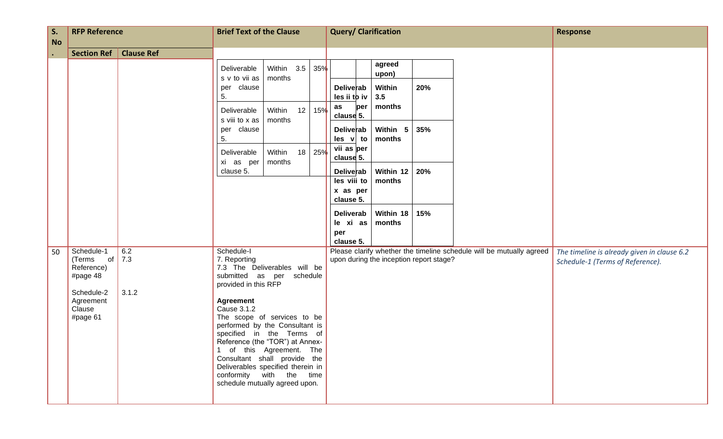| S.<br><b>No</b> | <b>RFP Reference</b>                                                                                  |                                                                                                                                                                                                                                                                                                                                                                                                             | <b>Brief Text of the Clause</b>                            |                   |                                         | <b>Query/ Clarification</b> |     | <b>Response</b>                                                      |                                                                                 |
|-----------------|-------------------------------------------------------------------------------------------------------|-------------------------------------------------------------------------------------------------------------------------------------------------------------------------------------------------------------------------------------------------------------------------------------------------------------------------------------------------------------------------------------------------------------|------------------------------------------------------------|-------------------|-----------------------------------------|-----------------------------|-----|----------------------------------------------------------------------|---------------------------------------------------------------------------------|
| $\bullet$       | <b>Section Ref</b>                                                                                    | <b>Clause Ref</b>                                                                                                                                                                                                                                                                                                                                                                                           |                                                            |                   |                                         |                             |     |                                                                      |                                                                                 |
|                 |                                                                                                       |                                                                                                                                                                                                                                                                                                                                                                                                             | Deliverable<br>s v to vii as<br>months                     | Within 3.5<br>35% |                                         | agreed<br>upon)             |     |                                                                      |                                                                                 |
|                 |                                                                                                       |                                                                                                                                                                                                                                                                                                                                                                                                             | clause<br>per<br>5.                                        |                   | Deliverab<br>$les$ ii to iv             | Within<br>3.5               | 20% |                                                                      |                                                                                 |
|                 |                                                                                                       |                                                                                                                                                                                                                                                                                                                                                                                                             | Within<br>Deliverable<br>s viii to x as<br>months          | 12<br>15%         | as<br>per<br>clause 5.                  | months                      |     |                                                                      |                                                                                 |
|                 |                                                                                                       |                                                                                                                                                                                                                                                                                                                                                                                                             | per clause<br>5.                                           |                   | <b>Deliverab</b><br>$les$ v to          | Within 5<br>months          | 35% |                                                                      |                                                                                 |
|                 |                                                                                                       |                                                                                                                                                                                                                                                                                                                                                                                                             | Within<br>Deliverable<br>xi as per<br>months               | 25%<br>18         | vii as per<br>clause 5.                 |                             |     |                                                                      |                                                                                 |
|                 |                                                                                                       |                                                                                                                                                                                                                                                                                                                                                                                                             | clause 5.                                                  |                   | Deliverab<br>les viii to                | Within 12<br>months         | 20% |                                                                      |                                                                                 |
|                 |                                                                                                       |                                                                                                                                                                                                                                                                                                                                                                                                             |                                                            |                   | x as per<br>clause 5.                   |                             |     |                                                                      |                                                                                 |
|                 |                                                                                                       |                                                                                                                                                                                                                                                                                                                                                                                                             |                                                            |                   | Deliverab<br>le xi as                   | Within 18   15%<br>months   |     |                                                                      |                                                                                 |
|                 |                                                                                                       |                                                                                                                                                                                                                                                                                                                                                                                                             |                                                            |                   | per<br>clause 5.                        |                             |     |                                                                      |                                                                                 |
| 50              | Schedule-1<br>of<br>(Terms<br>Reference)<br>#page 48<br>Schedule-2<br>Agreement<br>Clause<br>#page 61 | 6.2<br>Schedule-I<br>7.3<br>7. Reporting<br>7.3 The Deliverables will be<br>submitted as per schedule<br>provided in this RFP<br>3.1.2<br><b>Agreement</b><br>Cause 3.1.2<br>The scope of services to be<br>performed by the Consultant is<br>specified in the Terms of<br>Reference (the "TOR") at Annex-<br>1 of this Agreement. The<br>Consultant shall provide the<br>Deliverables specified therein in |                                                            |                   | upon during the inception report stage? |                             |     | Please clarify whether the timeline schedule will be mutually agreed | The timeline is already given in clause 6.2<br>Schedule-1 (Terms of Reference). |
|                 |                                                                                                       |                                                                                                                                                                                                                                                                                                                                                                                                             |                                                            |                   |                                         |                             |     |                                                                      |                                                                                 |
|                 |                                                                                                       |                                                                                                                                                                                                                                                                                                                                                                                                             | conformity with the time<br>schedule mutually agreed upon. |                   |                                         |                             |     |                                                                      |                                                                                 |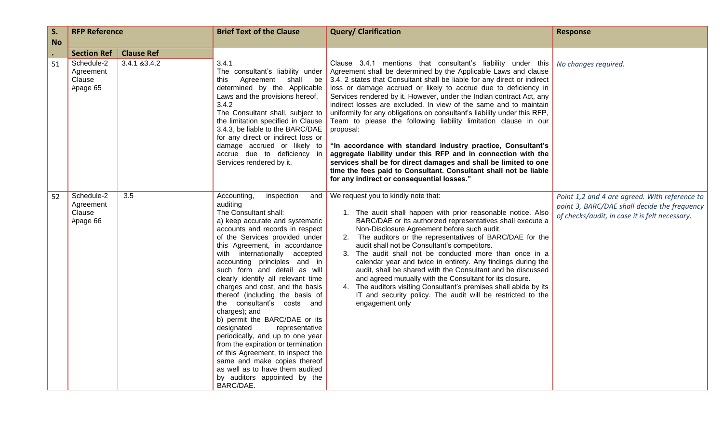| S.<br><b>No</b> | <b>RFP Reference</b>                          |                   | <b>Brief Text of the Clause</b>                                                                                                                                                                                                                                                                                                                                                                                                                                                                                                                                                                                                                                                                                                                                              | <b>Query/ Clarification</b>                                                                                                                                                                                                                                                                                                                                                                                                                                                                                                                                                                                                                                                                                                                                                                                                                                                                                    | <b>Response</b>                                                                                                                                 |
|-----------------|-----------------------------------------------|-------------------|------------------------------------------------------------------------------------------------------------------------------------------------------------------------------------------------------------------------------------------------------------------------------------------------------------------------------------------------------------------------------------------------------------------------------------------------------------------------------------------------------------------------------------------------------------------------------------------------------------------------------------------------------------------------------------------------------------------------------------------------------------------------------|----------------------------------------------------------------------------------------------------------------------------------------------------------------------------------------------------------------------------------------------------------------------------------------------------------------------------------------------------------------------------------------------------------------------------------------------------------------------------------------------------------------------------------------------------------------------------------------------------------------------------------------------------------------------------------------------------------------------------------------------------------------------------------------------------------------------------------------------------------------------------------------------------------------|-------------------------------------------------------------------------------------------------------------------------------------------------|
| $\bullet$       | <b>Section Ref</b>                            | <b>Clause Ref</b> |                                                                                                                                                                                                                                                                                                                                                                                                                                                                                                                                                                                                                                                                                                                                                                              |                                                                                                                                                                                                                                                                                                                                                                                                                                                                                                                                                                                                                                                                                                                                                                                                                                                                                                                |                                                                                                                                                 |
| 51              | Schedule-2<br>Agreement<br>Clause<br>#page 65 | 3.4.1 & 3.4.2     | 3.4.1<br>The consultant's liability under<br>Agreement<br>shall be<br>this<br>determined by the Applicable<br>Laws and the provisions hereof.<br>3.4.2<br>The Consultant shall, subject to<br>the limitation specified in Clause<br>3.4.3, be liable to the BARC/DAE<br>for any direct or indirect loss or<br>damage accrued or likely to<br>accrue due to deficiency in<br>Services rendered by it.                                                                                                                                                                                                                                                                                                                                                                         | Clause 3.4.1 mentions that consultant's liability under this<br>Agreement shall be determined by the Applicable Laws and clause<br>3.4. 2 states that Consultant shall be liable for any direct or indirect<br>loss or damage accrued or likely to accrue due to deficiency in<br>Services rendered by it. However, under the Indian contract Act, any<br>indirect losses are excluded. In view of the same and to maintain<br>uniformity for any obligations on consultant's liability under this RFP,<br>Team to please the following liability limitation clause in our<br>proposal:<br>"In accordance with standard industry practice, Consultant's<br>aggregate liability under this RFP and in connection with the<br>services shall be for direct damages and shall be limited to one<br>time the fees paid to Consultant. Consultant shall not be liable<br>for any indirect or consequential losses." | No changes required.                                                                                                                            |
| 52              | Schedule-2<br>Agreement<br>Clause<br>#page 66 | 3.5               | Accounting,<br>inspection<br>and  <br>auditing<br>The Consultant shall:<br>a) keep accurate and systematic<br>accounts and records in respect<br>of the Services provided under<br>this Agreement, in accordance<br>with internationally accepted<br>accounting principles and in<br>such form and detail as will<br>clearly identify all relevant time<br>charges and cost, and the basis<br>thereof (including the basis of<br>the consultant's costs and<br>charges); and<br>b) permit the BARC/DAE or its<br>designated<br>representative<br>periodically, and up to one year<br>from the expiration or termination<br>of this Agreement, to inspect the<br>same and make copies thereof<br>as well as to have them audited<br>by auditors appointed by the<br>BARC/DAE. | We request you to kindly note that:<br>1. The audit shall happen with prior reasonable notice. Also<br>BARC/DAE or its authorized representatives shall execute a<br>Non-Disclosure Agreement before such audit.<br>2. The auditors or the representatives of BARC/DAE for the<br>audit shall not be Consultant's competitors.<br>3. The audit shall not be conducted more than once in a<br>calendar year and twice in entirety. Any findings during the<br>audit, shall be shared with the Consultant and be discussed<br>and agreed mutually with the Consultant for its closure.<br>4. The auditors visiting Consultant's premises shall abide by its<br>IT and security policy. The audit will be restricted to the<br>engagement only                                                                                                                                                                    | Point 1,2 and 4 are agreed. With reference to<br>point 3, BARC/DAE shall decide the frequency<br>of checks/audit, in case it is felt necessary. |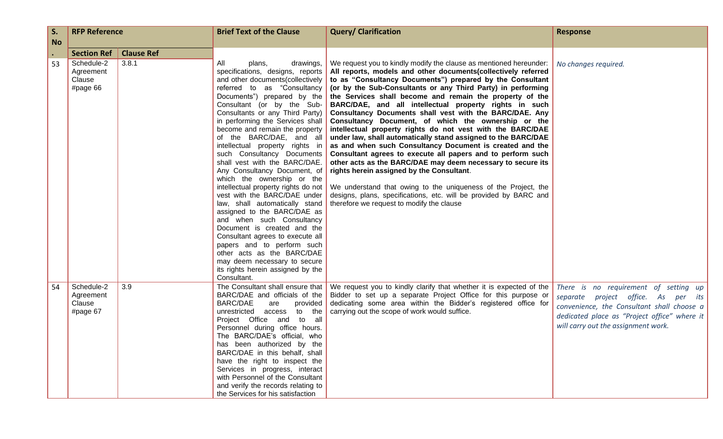| S.        | <b>RFP Reference</b>                                                  |                            | <b>Brief Text of the Clause</b>                                                                                                                                                                                                                                                                                                                                                                                                                                                                                                                                                                                                                                                                                                                                                                                                                                                              | <b>Query/ Clarification</b>                                                                                                                                                                                                                                                                                                                                                                                                                                                                                                                                                                                                                                                                                                                                                                                                                                                                                                                                                                                                                                        | <b>Response</b>                                                                                                                                                                                                   |
|-----------|-----------------------------------------------------------------------|----------------------------|----------------------------------------------------------------------------------------------------------------------------------------------------------------------------------------------------------------------------------------------------------------------------------------------------------------------------------------------------------------------------------------------------------------------------------------------------------------------------------------------------------------------------------------------------------------------------------------------------------------------------------------------------------------------------------------------------------------------------------------------------------------------------------------------------------------------------------------------------------------------------------------------|--------------------------------------------------------------------------------------------------------------------------------------------------------------------------------------------------------------------------------------------------------------------------------------------------------------------------------------------------------------------------------------------------------------------------------------------------------------------------------------------------------------------------------------------------------------------------------------------------------------------------------------------------------------------------------------------------------------------------------------------------------------------------------------------------------------------------------------------------------------------------------------------------------------------------------------------------------------------------------------------------------------------------------------------------------------------|-------------------------------------------------------------------------------------------------------------------------------------------------------------------------------------------------------------------|
| <b>No</b> |                                                                       |                            |                                                                                                                                                                                                                                                                                                                                                                                                                                                                                                                                                                                                                                                                                                                                                                                                                                                                                              |                                                                                                                                                                                                                                                                                                                                                                                                                                                                                                                                                                                                                                                                                                                                                                                                                                                                                                                                                                                                                                                                    |                                                                                                                                                                                                                   |
| 53        | <b>Section Ref</b><br>Schedule-2<br>Agreement<br>Clause<br>#page $66$ | <b>Clause Ref</b><br>3.8.1 | All<br>plans,<br>drawings,<br>specifications, designs, reports<br>and other documents (collectively<br>referred to as "Consultancy<br>Documents") prepared by the<br>Consultant (or by the Sub-<br>Consultants or any Third Party)<br>in performing the Services shall<br>become and remain the property<br>of the BARC/DAE, and all<br>intellectual property rights in<br>such Consultancy Documents<br>shall vest with the BARC/DAE.<br>Any Consultancy Document, of<br>which the ownership or the<br>intellectual property rights do not<br>vest with the BARC/DAE under<br>law, shall automatically stand<br>assigned to the BARC/DAE as<br>and when such Consultancy<br>Document is created and the<br>Consultant agrees to execute all<br>papers and to perform such<br>other acts as the BARC/DAE<br>may deem necessary to secure<br>its rights herein assigned by the<br>Consultant. | We request you to kindly modify the clause as mentioned hereunder:<br>All reports, models and other documents(collectively referred<br>to as "Consultancy Documents") prepared by the Consultant<br>(or by the Sub-Consultants or any Third Party) in performing<br>the Services shall become and remain the property of the<br>BARC/DAE, and all intellectual property rights in such<br>Consultancy Documents shall vest with the BARC/DAE. Any<br>Consultancy Document, of which the ownership or the<br>intellectual property rights do not vest with the BARC/DAE<br>under law, shall automatically stand assigned to the BARC/DAE<br>as and when such Consultancy Document is created and the<br>Consultant agrees to execute all papers and to perform such<br>other acts as the BARC/DAE may deem necessary to secure its<br>rights herein assigned by the Consultant.<br>We understand that owing to the uniqueness of the Project, the<br>designs, plans, specifications, etc. will be provided by BARC and<br>therefore we request to modify the clause | No changes required.                                                                                                                                                                                              |
| 54        | Schedule-2<br>Agreement<br>Clause<br>#page 67                         | 3.9                        | BARC/DAE and officials of the<br><b>BARC/DAE</b><br>are<br>provided<br>unrestricted access to the<br>Project Office and to all<br>Personnel during office hours.<br>The BARC/DAE's official, who<br>has been authorized by the<br>BARC/DAE in this behalf, shall<br>have the right to inspect the<br>Services in progress, interact<br>with Personnel of the Consultant<br>and verify the records relating to<br>the Services for his satisfaction                                                                                                                                                                                                                                                                                                                                                                                                                                           | The Consultant shall ensure that   We request you to kindly clarify that whether it is expected of the<br>Bidder to set up a separate Project Office for this purpose or<br>dedicating some area within the Bidder's registered office for<br>carrying out the scope of work would suffice.                                                                                                                                                                                                                                                                                                                                                                                                                                                                                                                                                                                                                                                                                                                                                                        | There is no requirement of setting up<br>separate project office. As per its<br>convenience, the Consultant shall choose a<br>dedicated place as "Project office" where it<br>will carry out the assignment work. |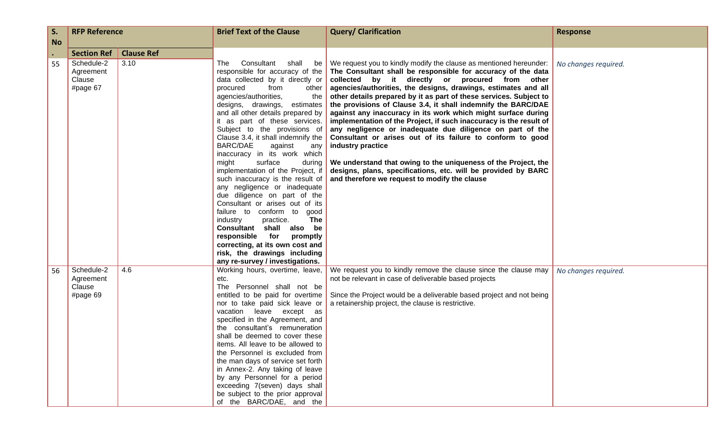| S.        | <b>RFP Reference</b>                          |                   | <b>Brief Text of the Clause</b>                                                                                                                                                                                                                                                                                                                                                                                                                                                                                                                                                                                                                                                                                                                                                                                   | <b>Query/ Clarification</b>                                                                                                                                                                                                                                                                                                                                                                                                                                                                                                                                                                                                                                                                                                                                                                                                                                                    | <b>Response</b>      |
|-----------|-----------------------------------------------|-------------------|-------------------------------------------------------------------------------------------------------------------------------------------------------------------------------------------------------------------------------------------------------------------------------------------------------------------------------------------------------------------------------------------------------------------------------------------------------------------------------------------------------------------------------------------------------------------------------------------------------------------------------------------------------------------------------------------------------------------------------------------------------------------------------------------------------------------|--------------------------------------------------------------------------------------------------------------------------------------------------------------------------------------------------------------------------------------------------------------------------------------------------------------------------------------------------------------------------------------------------------------------------------------------------------------------------------------------------------------------------------------------------------------------------------------------------------------------------------------------------------------------------------------------------------------------------------------------------------------------------------------------------------------------------------------------------------------------------------|----------------------|
| <b>No</b> |                                               |                   |                                                                                                                                                                                                                                                                                                                                                                                                                                                                                                                                                                                                                                                                                                                                                                                                                   |                                                                                                                                                                                                                                                                                                                                                                                                                                                                                                                                                                                                                                                                                                                                                                                                                                                                                |                      |
| $\bullet$ | <b>Section Ref</b>                            | <b>Clause Ref</b> |                                                                                                                                                                                                                                                                                                                                                                                                                                                                                                                                                                                                                                                                                                                                                                                                                   |                                                                                                                                                                                                                                                                                                                                                                                                                                                                                                                                                                                                                                                                                                                                                                                                                                                                                |                      |
| 55        | Schedule-2<br>Agreement<br>Clause<br>#page 67 | 3.10              | Consultant<br>shall<br>The<br>responsible for accuracy of the<br>data collected by it directly or<br>procured<br>from<br>other<br>agencies/authorities,<br>the<br>designs, drawings,<br>estimates<br>and all other details prepared by<br>it as part of these services.<br>Subject to the provisions of<br>Clause 3.4, it shall indemnify the<br>BARC/DAE<br>against<br>any<br>inaccuracy in its work which<br>surface<br>might<br>during<br>implementation of the Project, if<br>such inaccuracy is the result of<br>any negligence or inadequate<br>due diligence on part of the<br>Consultant or arises out of its<br>failure to conform to good<br>The<br>industry<br>practice.<br>Consultant shall also be<br>responsible for<br>promptly<br>correcting, at its own cost and<br>risk, the drawings including | be   We request you to kindly modify the clause as mentioned hereunder:<br>The Consultant shall be responsible for accuracy of the data<br>collected by it directly or procured from other<br>agencies/authorities, the designs, drawings, estimates and all<br>other details prepared by it as part of these services. Subject to<br>the provisions of Clause 3.4, it shall indemnify the BARC/DAE<br>against any inaccuracy in its work which might surface during<br>implementation of the Project, if such inaccuracy is the result of<br>any negligence or inadequate due diligence on part of the<br>Consultant or arises out of its failure to conform to good<br>industry practice<br>We understand that owing to the uniqueness of the Project, the<br>designs, plans, specifications, etc. will be provided by BARC<br>and therefore we request to modify the clause | No changes required. |
| 56        | Schedule-2<br>Agreement<br>Clause<br>#page 69 | 4.6               | any re-survey / investigations.<br>Working hours, overtime, leave,<br>etc.<br>The Personnel shall not be<br>entitled to be paid for overtime<br>nor to take paid sick leave or<br>vacation leave except as<br>specified in the Agreement, and<br>the consultant's remuneration<br>shall be deemed to cover these<br>items. All leave to be allowed to<br>the Personnel is excluded from<br>the man days of service set forth<br>in Annex-2. Any taking of leave<br>by any Personnel for a period<br>exceeding 7(seven) days shall<br>be subject to the prior approval<br>of the BARC/DAE, and the                                                                                                                                                                                                                 | We request you to kindly remove the clause since the clause may<br>not be relevant in case of deliverable based projects<br>Since the Project would be a deliverable based project and not being<br>a retainership project, the clause is restrictive.                                                                                                                                                                                                                                                                                                                                                                                                                                                                                                                                                                                                                         | No changes required. |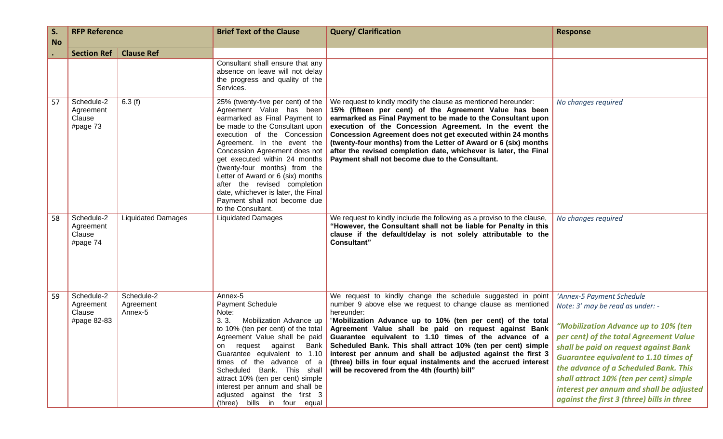| S.<br><b>No</b> | <b>RFP Reference</b>                             |                                    | <b>Brief Text of the Clause</b>                                                                                                                                                                                                                                                                                                                                                                                                                                     | <b>Query/ Clarification</b>                                                                                                                                                                                                                                                                                                                                                                                                                                                                                                                                                                                                                                                                               | <b>Response</b>                                                                                                                                                                                                                                                                                                                                                               |
|-----------------|--------------------------------------------------|------------------------------------|---------------------------------------------------------------------------------------------------------------------------------------------------------------------------------------------------------------------------------------------------------------------------------------------------------------------------------------------------------------------------------------------------------------------------------------------------------------------|-----------------------------------------------------------------------------------------------------------------------------------------------------------------------------------------------------------------------------------------------------------------------------------------------------------------------------------------------------------------------------------------------------------------------------------------------------------------------------------------------------------------------------------------------------------------------------------------------------------------------------------------------------------------------------------------------------------|-------------------------------------------------------------------------------------------------------------------------------------------------------------------------------------------------------------------------------------------------------------------------------------------------------------------------------------------------------------------------------|
|                 | <b>Section Ref</b>                               | <b>Clause Ref</b>                  |                                                                                                                                                                                                                                                                                                                                                                                                                                                                     |                                                                                                                                                                                                                                                                                                                                                                                                                                                                                                                                                                                                                                                                                                           |                                                                                                                                                                                                                                                                                                                                                                               |
|                 |                                                  |                                    | Consultant shall ensure that any<br>absence on leave will not delay<br>the progress and quality of the<br>Services.                                                                                                                                                                                                                                                                                                                                                 |                                                                                                                                                                                                                                                                                                                                                                                                                                                                                                                                                                                                                                                                                                           |                                                                                                                                                                                                                                                                                                                                                                               |
| 57              | Schedule-2<br>Agreement<br>Clause<br>#page 73    | 6.3(f)                             | 25% (twenty-five per cent) of the<br>Agreement Value has been<br>earmarked as Final Payment to<br>be made to the Consultant upon<br>execution of the Concession<br>Agreement. In the event the<br>Concession Agreement does not<br>get executed within 24 months<br>(twenty-four months) from the<br>Letter of Award or 6 (six) months<br>after the revised completion<br>date, whichever is later, the Final<br>Payment shall not become due<br>to the Consultant. | We request to kindly modify the clause as mentioned hereunder:<br>15% (fifteen per cent) of the Agreement Value has been<br>earmarked as Final Payment to be made to the Consultant upon<br>execution of the Concession Agreement. In the event the<br>Concession Agreement does not get executed within 24 months<br>(twenty-four months) from the Letter of Award or 6 (six) months<br>after the revised completion date, whichever is later, the Final<br>Payment shall not become due to the Consultant.                                                                                                                                                                                              | No changes required                                                                                                                                                                                                                                                                                                                                                           |
| 58              | Schedule-2<br>Agreement<br>Clause<br>#page 74    | <b>Liquidated Damages</b>          | <b>Liquidated Damages</b>                                                                                                                                                                                                                                                                                                                                                                                                                                           | We request to kindly include the following as a proviso to the clause,<br>"However, the Consultant shall not be liable for Penalty in this<br>clause if the default/delay is not solely attributable to the<br><b>Consultant"</b>                                                                                                                                                                                                                                                                                                                                                                                                                                                                         | No changes required                                                                                                                                                                                                                                                                                                                                                           |
| 59              | Schedule-2<br>Agreement<br>Clause<br>#page 82-83 | Schedule-2<br>Agreement<br>Annex-5 | Annex-5<br><b>Payment Schedule</b><br>Note:<br>3.3.<br>Mobilization Advance up<br>to 10% (ten per cent) of the total<br>times of the advance of a<br>Scheduled Bank. This shall<br>attract 10% (ten per cent) simple<br>interest per annum and shall be<br>adjusted against the first 3<br>(three) bills in four equal                                                                                                                                              | We request to kindly change the schedule suggested in point<br>number 9 above else we request to change clause as mentioned<br>hereunder:<br>"Mobilization Advance up to 10% (ten per cent) of the total<br>Agreement Value shall be paid on request against Bank<br>Agreement Value shall be paid Guarantee equivalent to 1.10 times of the advance of a<br>on request against Bank Scheduled Bank. This shall attract 10% (ten per cent) simple shall be paid on request against Bank<br>Guarantee equivalent to 1.10 interest per annum and shall be adjusted against the first 3<br>(three) bills in four equal instalments and the accrued interest<br>will be recovered from the 4th (fourth) bill" | 'Annex-5 Payment Schedule<br>Note: 3' may be read as under: -<br>"Mobilization Advance up to 10% (ten<br>per cent) of the total Agreement Value<br><b>Guarantee equivalent to 1.10 times of</b><br>the advance of a Scheduled Bank. This<br>shall attract 10% (ten per cent) simple<br>interest per annum and shall be adjusted<br>against the first 3 (three) bills in three |